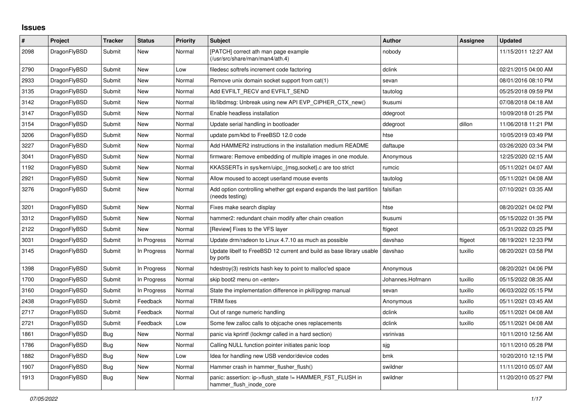## **Issues**

| $\vert$ # | Project      | <b>Tracker</b> | <b>Status</b> | <b>Priority</b> | <b>Subject</b>                                                                          | <b>Author</b>    | Assignee | <b>Updated</b>      |
|-----------|--------------|----------------|---------------|-----------------|-----------------------------------------------------------------------------------------|------------------|----------|---------------------|
| 2098      | DragonFlyBSD | Submit         | <b>New</b>    | Normal          | [PATCH] correct ath man page example<br>(/usr/src/share/man/man4/ath.4)                 | nobody           |          | 11/15/2011 12:27 AM |
| 2790      | DragonFlyBSD | Submit         | <b>New</b>    | Low             | filedesc softrefs increment code factoring                                              | dclink           |          | 02/21/2015 04:00 AM |
| 2933      | DragonFlyBSD | Submit         | <b>New</b>    | Normal          | Remove unix domain socket support from cat(1)                                           | sevan            |          | 08/01/2016 08:10 PM |
| 3135      | DragonFlyBSD | Submit         | New           | Normal          | Add EVFILT RECV and EVFILT SEND                                                         | tautolog         |          | 05/25/2018 09:59 PM |
| 3142      | DragonFlyBSD | Submit         | New           | Normal          | lib/libdmsg: Unbreak using new API EVP CIPHER CTX new()                                 | tkusumi          |          | 07/08/2018 04:18 AM |
| 3147      | DragonFlyBSD | Submit         | New           | Normal          | Enable headless installation                                                            | ddegroot         |          | 10/09/2018 01:25 PM |
| 3154      | DragonFlyBSD | Submit         | New           | Normal          | Update serial handling in bootloader                                                    | ddegroot         | dillon   | 11/06/2018 11:21 PM |
| 3206      | DragonFlyBSD | Submit         | New           | Normal          | update psm/kbd to FreeBSD 12.0 code                                                     | htse             |          | 10/05/2019 03:49 PM |
| 3227      | DragonFlyBSD | Submit         | <b>New</b>    | Normal          | Add HAMMER2 instructions in the installation medium README                              | daftaupe         |          | 03/26/2020 03:34 PM |
| 3041      | DragonFlyBSD | Submit         | New           | Normal          | firmware: Remove embedding of multiple images in one module.                            | Anonymous        |          | 12/25/2020 02:15 AM |
| 1192      | DragonFlyBSD | Submit         | New           | Normal          | KKASSERTs in sys/kern/uipc {msg,socket}.c are too strict                                | rumcic           |          | 05/11/2021 04:07 AM |
| 2921      | DragonFlyBSD | Submit         | <b>New</b>    | Normal          | Allow moused to accept userland mouse events                                            | tautolog         |          | 05/11/2021 04:08 AM |
| 3276      | DragonFlyBSD | Submit         | <b>New</b>    | Normal          | Add option controlling whether gpt expand expands the last partition<br>(needs testing) | falsifian        |          | 07/10/2021 03:35 AM |
| 3201      | DragonFlyBSD | Submit         | New           | Normal          | Fixes make search display                                                               | htse             |          | 08/20/2021 04:02 PM |
| 3312      | DragonFlyBSD | Submit         | New           | Normal          | hammer2: redundant chain modify after chain creation                                    | tkusumi          |          | 05/15/2022 01:35 PM |
| 2122      | DragonFlyBSD | Submit         | New           | Normal          | [Review] Fixes to the VFS layer                                                         | ftigeot          |          | 05/31/2022 03:25 PM |
| 3031      | DragonFlyBSD | Submit         | In Progress   | Normal          | Update drm/radeon to Linux 4.7.10 as much as possible                                   | davshao          | ftigeot  | 08/19/2021 12:33 PM |
| 3145      | DragonFlyBSD | Submit         | In Progress   | Normal          | Update libelf to FreeBSD 12 current and build as base library usable<br>by ports        | davshao          | tuxillo  | 08/20/2021 03:58 PM |
| 1398      | DragonFlyBSD | Submit         | In Progress   | Normal          | hdestroy(3) restricts hash key to point to malloc'ed space                              | Anonymous        |          | 08/20/2021 04:06 PM |
| 1700      | DragonFlyBSD | Submit         | In Progress   | Normal          | skip boot2 menu on <enter></enter>                                                      | Johannes.Hofmann | tuxillo  | 05/15/2022 08:35 AM |
| 3160      | DragonFlyBSD | Submit         | In Progress   | Normal          | State the implementation difference in pkill/pgrep manual                               | sevan            | tuxillo  | 06/03/2022 05:15 PM |
| 2438      | DragonFlyBSD | Submit         | Feedback      | Normal          | <b>TRIM</b> fixes                                                                       | Anonymous        | tuxillo  | 05/11/2021 03:45 AM |
| 2717      | DragonFlyBSD | Submit         | Feedback      | Normal          | Out of range numeric handling                                                           | dclink           | tuxillo  | 05/11/2021 04:08 AM |
| 2721      | DragonFlyBSD | Submit         | Feedback      | Low             | Some few zalloc calls to objcache ones replacements                                     | dclink           | tuxillo  | 05/11/2021 04:08 AM |
| 1861      | DragonFlyBSD | Bug            | <b>New</b>    | Normal          | panic via kprintf (lockmgr called in a hard section)                                    | vsrinivas        |          | 10/11/2010 12:56 AM |
| 1786      | DragonFlyBSD | <b>Bug</b>     | <b>New</b>    | Normal          | Calling NULL function pointer initiates panic loop                                      | sjg              |          | 10/11/2010 05:28 PM |
| 1882      | DragonFlyBSD | Bug            | <b>New</b>    | Low             | Idea for handling new USB vendor/device codes                                           | bmk              |          | 10/20/2010 12:15 PM |
| 1907      | DragonFlyBSD | Bug            | New           | Normal          | Hammer crash in hammer flusher flush()                                                  | swildner         |          | 11/11/2010 05:07 AM |
| 1913      | DragonFlyBSD | Bug            | New           | Normal          | panic: assertion: ip->flush_state != HAMMER_FST_FLUSH in<br>hammer_flush_inode_core     | swildner         |          | 11/20/2010 05:27 PM |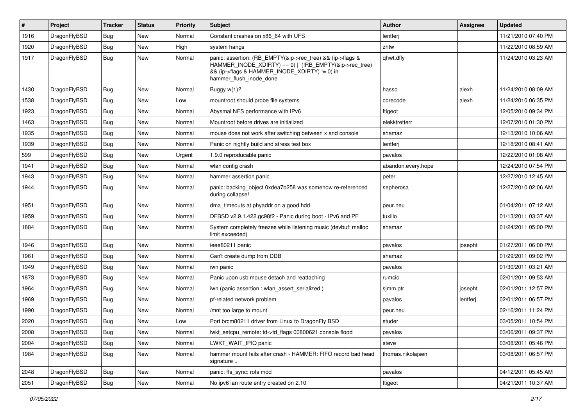| $\pmb{\#}$ | Project      | <b>Tracker</b> | <b>Status</b> | <b>Priority</b> | Subject                                                                                                                                                                                           | <b>Author</b>      | Assignee | <b>Updated</b>      |
|------------|--------------|----------------|---------------|-----------------|---------------------------------------------------------------------------------------------------------------------------------------------------------------------------------------------------|--------------------|----------|---------------------|
| 1916       | DragonFlyBSD | <b>Bug</b>     | <b>New</b>    | Normal          | Constant crashes on x86_64 with UFS                                                                                                                                                               | lentferj           |          | 11/21/2010 07:40 PM |
| 1920       | DragonFlyBSD | <b>Bug</b>     | <b>New</b>    | High            | system hangs                                                                                                                                                                                      | zhtw               |          | 11/22/2010 08:59 AM |
| 1917       | DragonFlyBSD | <b>Bug</b>     | New           | Normal          | panic: assertion: (RB_EMPTY(&ip->rec_tree) && (ip->flags &<br>HAMMER_INODE_XDIRTY) == 0)    (!RB_EMPTY(&ip->rec_tree)<br>&& (ip->flags & HAMMER_INODE_XDIRTY) != 0) in<br>hammer flush inode done | qhwt.dfly          |          | 11/24/2010 03:23 AM |
| 1430       | DragonFlyBSD | Bug            | New           | Normal          | Buggy w(1)?                                                                                                                                                                                       | hasso              | alexh    | 11/24/2010 08:09 AM |
| 1538       | DragonFlyBSD | <b>Bug</b>     | New           | Low             | mountroot should probe file systems                                                                                                                                                               | corecode           | alexh    | 11/24/2010 06:35 PM |
| 1923       | DragonFlyBSD | <b>Bug</b>     | New           | Normal          | Abysmal NFS performance with IPv6                                                                                                                                                                 | ftigeot            |          | 12/05/2010 09:34 PM |
| 1463       | DragonFlyBSD | <b>Bug</b>     | New           | Normal          | Mountroot before drives are initialized                                                                                                                                                           | elekktretterr      |          | 12/07/2010 01:30 PM |
| 1935       | DragonFlyBSD | <b>Bug</b>     | New           | Normal          | mouse does not work after switching between x and console                                                                                                                                         | shamaz             |          | 12/13/2010 10:06 AM |
| 1939       | DragonFlyBSD | Bug            | New           | Normal          | Panic on nightly build and stress test box                                                                                                                                                        | lentferj           |          | 12/18/2010 08:41 AM |
| 599        | DragonFlyBSD | <b>Bug</b>     | New           | Urgent          | 1.9.0 reproducable panic                                                                                                                                                                          | pavalos            |          | 12/22/2010 01:08 AM |
| 1941       | DragonFlyBSD | <b>Bug</b>     | New           | Normal          | wlan config crash                                                                                                                                                                                 | abandon.every.hope |          | 12/24/2010 07:54 PM |
| 1943       | DragonFlyBSD | <b>Bug</b>     | <b>New</b>    | Normal          | hammer assertion panic                                                                                                                                                                            | peter              |          | 12/27/2010 12:45 AM |
| 1944       | DragonFlyBSD | Bug            | New           | Normal          | panic: backing_object 0xdea7b258 was somehow re-referenced<br>during collapse!                                                                                                                    | sepherosa          |          | 12/27/2010 02:06 AM |
| 1951       | DragonFlyBSD | <b>Bug</b>     | New           | Normal          | dma timeouts at phyaddr on a good hdd                                                                                                                                                             | peur.neu           |          | 01/04/2011 07:12 AM |
| 1959       | DragonFlyBSD | <b>Bug</b>     | New           | Normal          | DFBSD v2.9.1.422.gc98f2 - Panic during boot - IPv6 and PF                                                                                                                                         | tuxillo            |          | 01/13/2011 03:37 AM |
| 1884       | DragonFlyBSD | Bug            | New           | Normal          | System completely freezes while listening music (devbuf: malloc<br>limit exceeded)                                                                                                                | shamaz             |          | 01/24/2011 05:00 PM |
| 1946       | DragonFlyBSD | <b>Bug</b>     | New           | Normal          | ieee80211 panic                                                                                                                                                                                   | pavalos            | josepht  | 01/27/2011 06:00 PM |
| 1961       | DragonFlyBSD | <b>Bug</b>     | <b>New</b>    | Normal          | Can't create dump from DDB                                                                                                                                                                        | shamaz             |          | 01/29/2011 09:02 PM |
| 1949       | DragonFlyBSD | <b>Bug</b>     | New           | Normal          | iwn panic                                                                                                                                                                                         | pavalos            |          | 01/30/2011 03:21 AM |
| 1873       | DragonFlyBSD | <b>Bug</b>     | New           | Normal          | Panic upon usb mouse detach and reattaching                                                                                                                                                       | rumcic             |          | 02/01/2011 09:53 AM |
| 1964       | DragonFlyBSD | <b>Bug</b>     | New           | Normal          | iwn (panic assertion : wlan assert serialized)                                                                                                                                                    | sjmm.ptr           | josepht  | 02/01/2011 12:57 PM |
| 1969       | DragonFlyBSD | <b>Bug</b>     | New           | Normal          | pf-related network problem                                                                                                                                                                        | pavalos            | lentferj | 02/01/2011 06:57 PM |
| 1990       | DragonFlyBSD | <b>Bug</b>     | New           | Normal          | /mnt too large to mount                                                                                                                                                                           | peur.neu           |          | 02/16/2011 11:24 PM |
| 2020       | DragonFlyBSD | <b>Bug</b>     | New           | Low             | Port brcm80211 driver from Linux to DragonFly BSD                                                                                                                                                 | studer             |          | 03/05/2011 10:54 PM |
| 2008       | DragonFlyBSD | <b>Bug</b>     | New           | Normal          | lwkt_setcpu_remote: td->td_flags 00800621 console flood                                                                                                                                           | pavalos            |          | 03/06/2011 09:37 PM |
| 2004       | DragonFlyBSD | <b>Bug</b>     | New           | Normal          | LWKT_WAIT_IPIQ panic                                                                                                                                                                              | steve              |          | 03/08/2011 05:46 PM |
| 1984       | DragonFlyBSD | <b>Bug</b>     | New           | Normal          | hammer mount fails after crash - HAMMER: FIFO record bad head<br>signature                                                                                                                        | thomas.nikolajsen  |          | 03/08/2011 06:57 PM |
| 2048       | DragonFlyBSD | <b>Bug</b>     | New           | Normal          | panic: ffs_sync: rofs mod                                                                                                                                                                         | pavalos            |          | 04/12/2011 05:45 AM |
| 2051       | DragonFlyBSD | <b>Bug</b>     | New           | Normal          | No ipv6 lan route entry created on 2.10                                                                                                                                                           | ftigeot            |          | 04/21/2011 10:37 AM |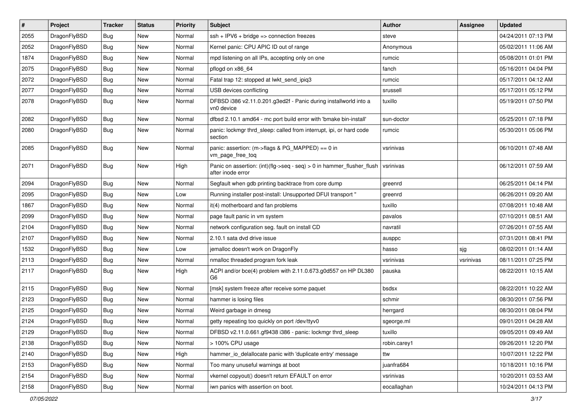| $\sharp$ | Project      | <b>Tracker</b> | <b>Status</b> | <b>Priority</b> | Subject                                                                                       | Author       | <b>Assignee</b> | <b>Updated</b>      |
|----------|--------------|----------------|---------------|-----------------|-----------------------------------------------------------------------------------------------|--------------|-----------------|---------------------|
| 2055     | DragonFlyBSD | Bug            | New           | Normal          | $ssh + IPV6 + bridge \Rightarrow$ connection freezes                                          | steve        |                 | 04/24/2011 07:13 PM |
| 2052     | DragonFlyBSD | Bug            | <b>New</b>    | Normal          | Kernel panic: CPU APIC ID out of range                                                        | Anonymous    |                 | 05/02/2011 11:06 AM |
| 1874     | DragonFlyBSD | <b>Bug</b>     | <b>New</b>    | Normal          | mpd listening on all IPs, accepting only on one                                               | rumcic       |                 | 05/08/2011 01:01 PM |
| 2075     | DragonFlyBSD | <b>Bug</b>     | New           | Normal          | pflogd on x86 64                                                                              | fanch        |                 | 05/16/2011 04:04 PM |
| 2072     | DragonFlyBSD | Bug            | <b>New</b>    | Normal          | Fatal trap 12: stopped at lwkt send ipig3                                                     | rumcic       |                 | 05/17/2011 04:12 AM |
| 2077     | DragonFlyBSD | <b>Bug</b>     | New           | Normal          | USB devices conflicting                                                                       | srussell     |                 | 05/17/2011 05:12 PM |
| 2078     | DragonFlyBSD | <b>Bug</b>     | <b>New</b>    | Normal          | DFBSD i386 v2.11.0.201.g3ed2f - Panic during installworld into a<br>vn0 device                | tuxillo      |                 | 05/19/2011 07:50 PM |
| 2082     | DragonFlyBSD | Bug            | <b>New</b>    | Normal          | dfbsd 2.10.1 amd64 - mc port build error with 'bmake bin-install'                             | sun-doctor   |                 | 05/25/2011 07:18 PM |
| 2080     | DragonFlyBSD | <b>Bug</b>     | New           | Normal          | panic: lockmgr thrd_sleep: called from interrupt, ipi, or hard code<br>section                | rumcic       |                 | 05/30/2011 05:06 PM |
| 2085     | DragonFlyBSD | Bug            | <b>New</b>    | Normal          | panic: assertion: (m->flags & PG_MAPPED) == 0 in<br>vm_page_free_toq                          | vsrinivas    |                 | 06/10/2011 07:48 AM |
| 2071     | DragonFlyBSD | Bug            | New           | High            | Panic on assertion: $(int)(flag->seq - seq) > 0$ in hammer flusher flush<br>after inode error | vsrinivas    |                 | 06/12/2011 07:59 AM |
| 2094     | DragonFlyBSD | Bug            | <b>New</b>    | Normal          | Segfault when gdb printing backtrace from core dump                                           | greenrd      |                 | 06/25/2011 04:14 PM |
| 2095     | DragonFlyBSD | <b>Bug</b>     | New           | Low             | Running installer post-install: Unsupported DFUI transport "                                  | greenrd      |                 | 06/26/2011 09:20 AM |
| 1867     | DragonFlyBSD | <b>Bug</b>     | <b>New</b>    | Normal          | it(4) motherboard and fan problems                                                            | tuxillo      |                 | 07/08/2011 10:48 AM |
| 2099     | DragonFlyBSD | <b>Bug</b>     | New           | Normal          | page fault panic in vm system                                                                 | pavalos      |                 | 07/10/2011 08:51 AM |
| 2104     | DragonFlyBSD | <b>Bug</b>     | New           | Normal          | network configuration seg. fault on install CD                                                | navratil     |                 | 07/26/2011 07:55 AM |
| 2107     | DragonFlyBSD | Bug            | New           | Normal          | 2.10.1 sata dvd drive issue                                                                   | ausppc       |                 | 07/31/2011 08:41 PM |
| 1532     | DragonFlyBSD | <b>Bug</b>     | New           | Low             | jemalloc doesn't work on DragonFly                                                            | hasso        | sjg             | 08/02/2011 01:14 AM |
| 2113     | DragonFlyBSD | <b>Bug</b>     | New           | Normal          | nmalloc threaded program fork leak                                                            | vsrinivas    | vsrinivas       | 08/11/2011 07:25 PM |
| 2117     | DragonFlyBSD | <b>Bug</b>     | New           | High            | ACPI and/or bce(4) problem with 2.11.0.673.g0d557 on HP DL380<br>G6                           | pauska       |                 | 08/22/2011 10:15 AM |
| 2115     | DragonFlyBSD | Bug            | New           | Normal          | [msk] system freeze after receive some paquet                                                 | bsdsx        |                 | 08/22/2011 10:22 AM |
| 2123     | DragonFlyBSD | <b>Bug</b>     | <b>New</b>    | Normal          | hammer is losing files                                                                        | schmir       |                 | 08/30/2011 07:56 PM |
| 2125     | DragonFlyBSD | <b>Bug</b>     | New           | Normal          | Weird garbage in dmesg                                                                        | herrgard     |                 | 08/30/2011 08:04 PM |
| 2124     | DragonFlyBSD | Bug            | <b>New</b>    | Normal          | getty repeating too quickly on port /dev/ttyv0                                                | sgeorge.ml   |                 | 09/01/2011 04:28 AM |
| 2129     | DragonFlyBSD | Bug            | <b>New</b>    | Normal          | DFBSD v2.11.0.661.gf9438 i386 - panic: lockmgr thrd_sleep                                     | tuxillo      |                 | 09/05/2011 09:49 AM |
| 2138     | DragonFlyBSD | <b>Bug</b>     | <b>New</b>    | Normal          | > 100% CPU usage                                                                              | robin.carey1 |                 | 09/26/2011 12:20 PM |
| 2140     | DragonFlyBSD | Bug            | New           | High            | hammer_io_delallocate panic with 'duplicate entry' message                                    | ttw          |                 | 10/07/2011 12:22 PM |
| 2153     | DragonFlyBSD | <b>Bug</b>     | New           | Normal          | Too many unuseful warnings at boot                                                            | juanfra684   |                 | 10/18/2011 10:16 PM |
| 2154     | DragonFlyBSD | <b>Bug</b>     | New           | Normal          | vkernel copyout() doesn't return EFAULT on error                                              | vsrinivas    |                 | 10/20/2011 03:53 AM |
| 2158     | DragonFlyBSD | <b>Bug</b>     | New           | Normal          | iwn panics with assertion on boot.                                                            | eocallaghan  |                 | 10/24/2011 04:13 PM |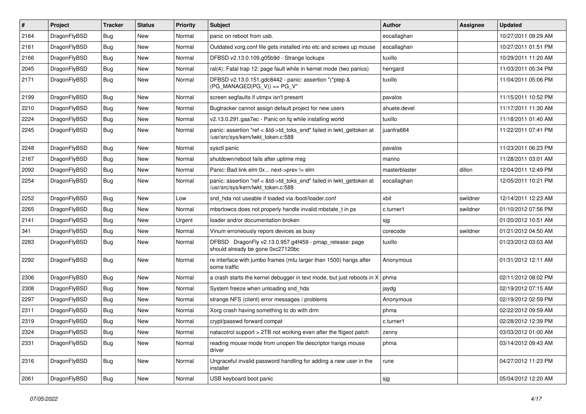| $\vert$ # | Project      | <b>Tracker</b> | <b>Status</b> | <b>Priority</b> | <b>Subject</b>                                                                                             | <b>Author</b> | Assignee | <b>Updated</b>      |
|-----------|--------------|----------------|---------------|-----------------|------------------------------------------------------------------------------------------------------------|---------------|----------|---------------------|
| 2164      | DragonFlyBSD | <b>Bug</b>     | <b>New</b>    | Normal          | panic on reboot from usb.                                                                                  | eocallaghan   |          | 10/27/2011 09:29 AM |
| 2161      | DragonFlyBSD | <b>Bug</b>     | <b>New</b>    | Normal          | Outdated xorg.conf file gets installed into etc and screws up mouse                                        | eocallaghan   |          | 10/27/2011 01:51 PM |
| 2166      | DragonFlyBSD | <b>Bug</b>     | <b>New</b>    | Normal          | DFBSD v2.13.0.109.g05b9d - Strange lockups                                                                 | tuxillo       |          | 10/29/2011 11:20 AM |
| 2045      | DragonFlyBSD | Bug            | <b>New</b>    | Normal          | ral(4): Fatal trap 12: page fault while in kernel mode (two panics)                                        | herrgard      |          | 11/03/2011 05:34 PM |
| 2171      | DragonFlyBSD | Bug            | <b>New</b>    | Normal          | DFBSD v2.13.0.151.gdc8442 - panic: assertion "(*ptep &<br>$(PG_MANAGED PG_V)$ == PG_V"                     | tuxillo       |          | 11/04/2011 05:06 PM |
| 2199      | DragonFlyBSD | Bug            | <b>New</b>    | Normal          | screen segfaults if utmpx isn't present                                                                    | pavalos       |          | 11/15/2011 10:52 PM |
| 2210      | DragonFlyBSD | <b>Bug</b>     | <b>New</b>    | Normal          | Bugtracker cannot assign default project for new users                                                     | ahuete.devel  |          | 11/17/2011 11:30 AM |
| 2224      | DragonFlyBSD | Bug            | <b>New</b>    | Normal          | v2.13.0.291.gaa7ec - Panic on fq while installing world                                                    | tuxillo       |          | 11/18/2011 01:40 AM |
| 2245      | DragonFlyBSD | <b>Bug</b>     | New           | Normal          | panic: assertion "ref < &td->td_toks_end" failed in lwkt_gettoken at<br>/usr/src/sys/kern/lwkt_token.c:588 | juanfra684    |          | 11/22/2011 07:41 PM |
| 2248      | DragonFlyBSD | Bug            | <b>New</b>    | Normal          | sysctl panic                                                                                               | pavalos       |          | 11/23/2011 06:23 PM |
| 2167      | DragonFlyBSD | <b>Bug</b>     | <b>New</b>    | Normal          | shutdown/reboot fails after uptime msg                                                                     | marino        |          | 11/28/2011 03:01 AM |
| 2092      | DragonFlyBSD | <b>Bug</b>     | <b>New</b>    | Normal          | Panic: Bad link elm 0x next->prev != elm                                                                   | masterblaster | dillon   | 12/04/2011 12:49 PM |
| 2254      | DragonFlyBSD | Bug            | <b>New</b>    | Normal          | panic: assertion "ref < &td->td_toks_end" failed in lwkt_gettoken at<br>/usr/src/sys/kern/lwkt_token.c:588 | eocallaghan   |          | 12/05/2011 10:21 PM |
| 2252      | DragonFlyBSD | Bug            | <b>New</b>    | Low             | snd hda not useable if loaded via /boot/loader.conf                                                        | xbit          | swildner | 12/14/2011 12:23 AM |
| 2265      | DragonFlyBSD | Bug            | <b>New</b>    | Normal          | mbsrtowcs does not properly handle invalid mbstate_t in ps                                                 | c.turner1     | swildner | 01/10/2012 07:56 PM |
| 2141      | DragonFlyBSD | <b>Bug</b>     | <b>New</b>    | Urgent          | loader and/or documentation broken                                                                         | sjg           |          | 01/20/2012 10:51 AM |
| 341       | DragonFlyBSD | Bug            | <b>New</b>    | Normal          | Vinum erroneously repors devices as busy                                                                   | corecode      | swildner | 01/21/2012 04:50 AM |
| 2283      | DragonFlyBSD | <b>Bug</b>     | New           | Normal          | DFBSD DragonFly v2.13.0.957.g4f459 - pmap_release: page<br>should already be gone 0xc27120bc               | tuxillo       |          | 01/23/2012 03:03 AM |
| 2292      | DragonFlyBSD | Bug            | <b>New</b>    | Normal          | re interface with jumbo frames (mtu larger than 1500) hangs after<br>some traffic                          | Anonymous     |          | 01/31/2012 12:11 AM |
| 2306      | DragonFlyBSD | Bug            | <b>New</b>    | Normal          | a crash starts the kernel debugger in text mode, but just reboots in $X \mid p$ hma                        |               |          | 02/11/2012 08:02 PM |
| 2308      | DragonFlyBSD | Bug            | <b>New</b>    | Normal          | System freeze when unloading snd_hda                                                                       | jaydg         |          | 02/19/2012 07:15 AM |
| 2297      | DragonFlyBSD | Bug            | <b>New</b>    | Normal          | strange NFS (client) error messages / problems                                                             | Anonymous     |          | 02/19/2012 02:59 PM |
| 2311      | DragonFlyBSD | Bug            | <b>New</b>    | Normal          | Xorg crash having something to do with drm                                                                 | phma          |          | 02/22/2012 09:59 AM |
| 2319      | DragonFlyBSD | <b>Bug</b>     | <b>New</b>    | Normal          | crypt/passwd forward compat                                                                                | c.turner1     |          | 02/28/2012 12:39 PM |
| 2324      | DragonFlyBSD | Bug            | New           | Normal          | natacotrol support > 2TB not working even after the ftigeot patch                                          | zenny         |          | 03/03/2012 01:00 AM |
| 2331      | DragonFlyBSD | Bug            | New           | Normal          | reading mouse mode from unopen file descriptor hangs mouse<br>driver                                       | phma          |          | 03/14/2012 09:43 AM |
| 2316      | DragonFlyBSD | <b>Bug</b>     | New           | Normal          | Ungraceful invalid password handling for adding a new user in the<br>installer                             | rune          |          | 04/27/2012 11:23 PM |
| 2061      | DragonFlyBSD | <b>Bug</b>     | New           | Normal          | USB keyboard boot panic                                                                                    | sjg           |          | 05/04/2012 12:20 AM |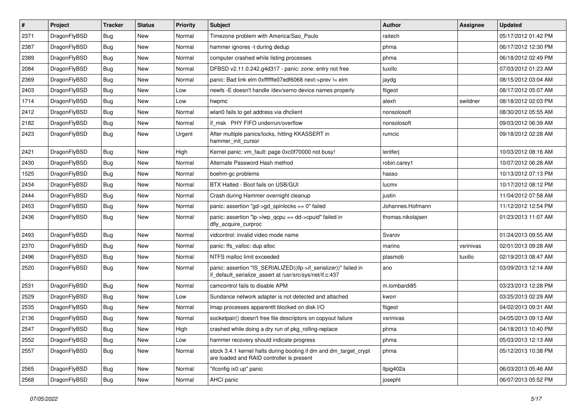| $\vert$ # | Project      | <b>Tracker</b> | <b>Status</b> | <b>Priority</b> | <b>Subject</b>                                                                                                               | Author            | <b>Assignee</b> | <b>Updated</b>      |
|-----------|--------------|----------------|---------------|-----------------|------------------------------------------------------------------------------------------------------------------------------|-------------------|-----------------|---------------------|
| 2371      | DragonFlyBSD | Bug            | <b>New</b>    | Normal          | Timezone problem with America/Sao_Paulo                                                                                      | raitech           |                 | 05/17/2012 01:42 PM |
| 2387      | DragonFlyBSD | <b>Bug</b>     | <b>New</b>    | Normal          | hammer ignores -t during dedup                                                                                               | phma              |                 | 06/17/2012 12:30 PM |
| 2389      | DragonFlyBSD | <b>Bug</b>     | <b>New</b>    | Normal          | computer crashed while listing processes                                                                                     | phma              |                 | 06/18/2012 02:49 PM |
| 2084      | DragonFlyBSD | Bug            | <b>New</b>    | Normal          | DFBSD v2.11.0.242.g4d317 - panic: zone: entry not free                                                                       | tuxillo           |                 | 07/03/2012 01:23 AM |
| 2369      | DragonFlyBSD | Bug            | <b>New</b>    | Normal          | panic: Bad link elm 0xffffffe07edf6068 next->prev != elm                                                                     | jaydg             |                 | 08/15/2012 03:04 AM |
| 2403      | DragonFlyBSD | <b>Bug</b>     | <b>New</b>    | Low             | newfs -E doesn't handle /dev/serno device names properly                                                                     | ftigeot           |                 | 08/17/2012 05:07 AM |
| 1714      | DragonFlyBSD | Bug            | <b>New</b>    | Low             | hwpmc                                                                                                                        | alexh             | swildner        | 08/18/2012 02:03 PM |
| 2412      | DragonFlyBSD | Bug            | <b>New</b>    | Normal          | wlan0 fails to get address via dhclient                                                                                      | nonsolosoft       |                 | 08/30/2012 05:55 AM |
| 2182      | DragonFlyBSD | <b>Bug</b>     | <b>New</b>    | Normal          | if msk PHY FIFO underrun/overflow                                                                                            | nonsolosoft       |                 | 09/03/2012 06:39 AM |
| 2423      | DragonFlyBSD | Bug            | <b>New</b>    | Urgent          | After multiple panics/locks, hitting KKASSERT in<br>hammer init cursor                                                       | rumcic            |                 | 09/18/2012 02:28 AM |
| 2421      | DragonFlyBSD | Bug            | <b>New</b>    | High            | Kernel panic: vm_fault: page 0xc0f70000 not busy!                                                                            | lentferj          |                 | 10/03/2012 08:16 AM |
| 2430      | DragonFlyBSD | Bug            | <b>New</b>    | Normal          | Alternate Password Hash method                                                                                               | robin.carey1      |                 | 10/07/2012 06:28 AM |
| 1525      | DragonFlyBSD | Bug            | <b>New</b>    | Normal          | boehm-gc problems                                                                                                            | hasso             |                 | 10/13/2012 07:13 PM |
| 2434      | DragonFlyBSD | <b>Bug</b>     | <b>New</b>    | Normal          | BTX Halted - Boot fails on USB/GUI                                                                                           | lucmv             |                 | 10/17/2012 08:12 PM |
| 2444      | DragonFlyBSD | <b>Bug</b>     | <b>New</b>    | Normal          | Crash during Hammer overnight cleanup                                                                                        | justin            |                 | 11/04/2012 07:58 AM |
| 2453      | DragonFlyBSD | <b>Bug</b>     | New           | Normal          | panic: assertion "gd->gd_spinlocks == 0" failed                                                                              | Johannes.Hofmann  |                 | 11/12/2012 12:54 PM |
| 2436      | DragonFlyBSD | Bug            | <b>New</b>    | Normal          | panic: assertion "lp->lwp_qcpu == dd->cpuid" failed in<br>dfly_acquire_curproc                                               | thomas.nikolajsen |                 | 01/23/2013 11:07 AM |
| 2493      | DragonFlyBSD | Bug            | <b>New</b>    | Normal          | vidcontrol: invalid video mode name                                                                                          | Svarov            |                 | 01/24/2013 09:55 AM |
| 2370      | DragonFlyBSD | <b>Bug</b>     | <b>New</b>    | Normal          | panic: ffs_valloc: dup alloc                                                                                                 | marino            | vsrinivas       | 02/01/2013 09:28 AM |
| 2496      | DragonFlyBSD | <b>Bug</b>     | <b>New</b>    | Normal          | NTFS malloc limit exceeded                                                                                                   | plasmob           | tuxillo         | 02/19/2013 08:47 AM |
| 2520      | DragonFlyBSD | Bug            | <b>New</b>    | Normal          | panic: assertion "IS_SERIALIZED((ifp->if_serializer))" failed in<br>if_default_serialize_assert at /usr/src/sys/net/if.c:437 | ano               |                 | 03/09/2013 12:14 AM |
| 2531      | DragonFlyBSD | Bug            | <b>New</b>    | Normal          | camcontrol fails to disable APM                                                                                              | m.lombardi85      |                 | 03/23/2013 12:28 PM |
| 2529      | DragonFlyBSD | Bug            | <b>New</b>    | Low             | Sundance network adapter is not detected and attached                                                                        | kworr             |                 | 03/25/2013 02:29 AM |
| 2535      | DragonFlyBSD | <b>Bug</b>     | <b>New</b>    | Normal          | Imap processes apparentlt blocked on disk I/O                                                                                | ftigeot           |                 | 04/02/2013 09:31 AM |
| 2136      | DragonFlyBSD | Bug            | <b>New</b>    | Normal          | socketpair() doesn't free file descriptors on copyout failure                                                                | vsrinivas         |                 | 04/05/2013 09:13 AM |
| 2547      | DragonFlyBSD | i Bug          | New           | High            | crashed while doing a dry run of pkg_rolling-replace                                                                         | phma              |                 | 04/18/2013 10:40 PM |
| 2552      | DragonFlyBSD | <b>Bug</b>     | <b>New</b>    | Low             | hammer recovery should indicate progress                                                                                     | phma              |                 | 05/03/2013 12:13 AM |
| 2557      | DragonFlyBSD | Bug            | New           | Normal          | stock 3.4.1 kernel halts during booting if dm and dm_target_crypt<br>are loaded and RAID controller is present               | phma              |                 | 05/12/2013 10:38 PM |
| 2565      | DragonFlyBSD | Bug            | New           | Normal          | "ifconfig ix0 up" panic                                                                                                      | Itpig402a         |                 | 06/03/2013 05:46 AM |
| 2568      | DragonFlyBSD | <b>Bug</b>     | New           | Normal          | AHCI panic                                                                                                                   | josepht           |                 | 06/07/2013 05:52 PM |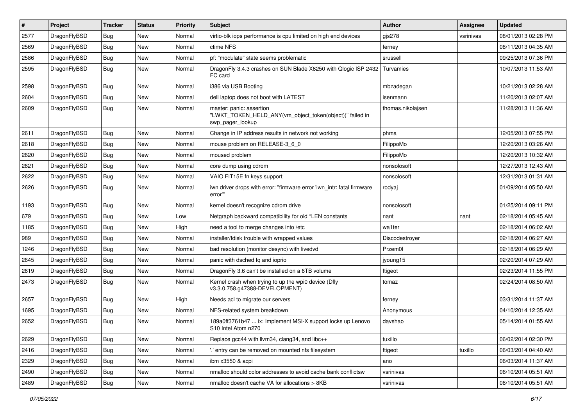| $\vert$ # | Project      | <b>Tracker</b> | <b>Status</b> | <b>Priority</b> | Subject                                                                                                  | Author            | Assignee  | <b>Updated</b>      |
|-----------|--------------|----------------|---------------|-----------------|----------------------------------------------------------------------------------------------------------|-------------------|-----------|---------------------|
| 2577      | DragonFlyBSD | Bug            | <b>New</b>    | Normal          | virtio-blk iops performance is cpu limited on high end devices                                           | gjs278            | vsrinivas | 08/01/2013 02:28 PM |
| 2569      | DragonFlyBSD | <b>Bug</b>     | <b>New</b>    | Normal          | ctime NFS                                                                                                | ferney            |           | 08/11/2013 04:35 AM |
| 2586      | DragonFlyBSD | <b>Bug</b>     | <b>New</b>    | Normal          | pf: "modulate" state seems problematic                                                                   | srussell          |           | 09/25/2013 07:36 PM |
| 2595      | DragonFlyBSD | Bug            | New           | Normal          | DragonFly 3.4.3 crashes on SUN Blade X6250 with Qlogic ISP 2432<br>FC card                               | Turvamies         |           | 10/07/2013 11:53 AM |
| 2598      | DragonFlyBSD | <b>Bug</b>     | New           | Normal          | i386 via USB Booting                                                                                     | mbzadegan         |           | 10/21/2013 02:28 AM |
| 2604      | DragonFlyBSD | Bug            | <b>New</b>    | Normal          | dell laptop does not boot with LATEST                                                                    | isenmann          |           | 11/20/2013 02:07 AM |
| 2609      | DragonFlyBSD | Bug            | New           | Normal          | master: panic: assertion<br>"LWKT_TOKEN_HELD_ANY(vm_object_token(object))" failed in<br>swp_pager_lookup | thomas.nikolajsen |           | 11/28/2013 11:36 AM |
| 2611      | DragonFlyBSD | Bug            | <b>New</b>    | Normal          | Change in IP address results in network not working                                                      | phma              |           | 12/05/2013 07:55 PM |
| 2618      | DragonFlyBSD | Bug            | <b>New</b>    | Normal          | mouse problem on RELEASE-3_6_0                                                                           | FilippoMo         |           | 12/20/2013 03:26 AM |
| 2620      | DragonFlyBSD | Bug            | <b>New</b>    | Normal          | moused problem                                                                                           | FilippoMo         |           | 12/20/2013 10:32 AM |
| 2621      | DragonFlyBSD | <b>Bug</b>     | New           | Normal          | core dump using cdrom                                                                                    | nonsolosoft       |           | 12/27/2013 12:43 AM |
| 2622      | DragonFlyBSD | Bug            | <b>New</b>    | Normal          | VAIO FIT15E fn keys support                                                                              | nonsolosoft       |           | 12/31/2013 01:31 AM |
| 2626      | DragonFlyBSD | Bug            | New           | Normal          | iwn driver drops with error: "firmware error 'iwn intr: fatal firmware<br>error""                        | rodyaj            |           | 01/09/2014 05:50 AM |
| 1193      | DragonFlyBSD | <b>Bug</b>     | <b>New</b>    | Normal          | kernel doesn't recognize cdrom drive                                                                     | nonsolosoft       |           | 01/25/2014 09:11 PM |
| 679       | DragonFlyBSD | <b>Bug</b>     | <b>New</b>    | Low             | Netgraph backward compatibility for old *LEN constants                                                   | nant              | nant      | 02/18/2014 05:45 AM |
| 1185      | DragonFlyBSD | Bug            | <b>New</b>    | High            | need a tool to merge changes into /etc                                                                   | wa1ter            |           | 02/18/2014 06:02 AM |
| 989       | DragonFlyBSD | Bug            | <b>New</b>    | Normal          | installer/fdisk trouble with wrapped values                                                              | Discodestroyer    |           | 02/18/2014 06:27 AM |
| 1246      | DragonFlyBSD | <b>Bug</b>     | New           | Normal          | bad resolution (monitor desync) with livedvd                                                             | Przem0l           |           | 02/18/2014 06:29 AM |
| 2645      | DragonFlyBSD | Bug            | <b>New</b>    | Normal          | panic with dsched fq and ioprio                                                                          | jyoung15          |           | 02/20/2014 07:29 AM |
| 2619      | DragonFlyBSD | <b>Bug</b>     | New           | Normal          | DragonFly 3.6 can't be installed on a 6TB volume                                                         | ftigeot           |           | 02/23/2014 11:55 PM |
| 2473      | DragonFlyBSD | Bug            | New           | Normal          | Kernel crash when trying to up the wpi0 device (Dfly<br>v3.3.0.758.g47388-DEVELOPMENT)                   | tomaz             |           | 02/24/2014 08:50 AM |
| 2657      | DragonFlyBSD | <b>Bug</b>     | <b>New</b>    | High            | Needs acl to migrate our servers                                                                         | ferney            |           | 03/31/2014 11:37 AM |
| 1695      | DragonFlyBSD | Bug            | <b>New</b>    | Normal          | NFS-related system breakdown                                                                             | Anonymous         |           | 04/10/2014 12:35 AM |
| 2652      | DragonFlyBSD | Bug            | New           | Normal          | 189a0ff3761b47  ix: Implement MSI-X support locks up Lenovo<br>S10 Intel Atom n270                       | davshao           |           | 05/14/2014 01:55 AM |
| 2629      | DragonFlyBSD | Bug            | New           | Normal          | Replace gcc44 with llvm34, clang34, and libc++                                                           | tuxillo           |           | 06/02/2014 02:30 PM |
| 2416      | DragonFlyBSD | Bug            | New           | Normal          | 'entry can be removed on mounted nfs filesystem                                                          | ftigeot           | tuxillo   | 06/03/2014 04:40 AM |
| 2329      | DragonFlyBSD | <b>Bug</b>     | New           | Normal          | ibm x3550 & acpi                                                                                         | ano               |           | 06/03/2014 11:37 AM |
| 2490      | DragonFlyBSD | Bug            | New           | Normal          | nmalloc should color addresses to avoid cache bank conflictsw                                            | vsrinivas         |           | 06/10/2014 05:51 AM |
| 2489      | DragonFlyBSD | <b>Bug</b>     | New           | Normal          | nmalloc doesn't cache VA for allocations > 8KB                                                           | vsrinivas         |           | 06/10/2014 05:51 AM |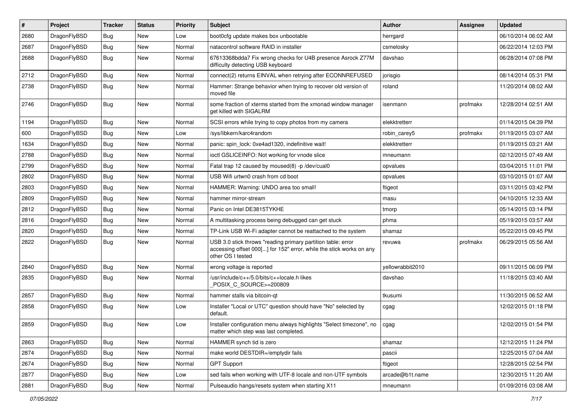| #    | Project      | <b>Tracker</b> | <b>Status</b> | <b>Priority</b> | Subject                                                                                                                                                  | <b>Author</b>    | Assignee | <b>Updated</b>      |
|------|--------------|----------------|---------------|-----------------|----------------------------------------------------------------------------------------------------------------------------------------------------------|------------------|----------|---------------------|
| 2680 | DragonFlyBSD | <b>Bug</b>     | New           | Low             | boot0cfg update makes box unbootable                                                                                                                     | herrgard         |          | 06/10/2014 06:02 AM |
| 2687 | DragonFlyBSD | Bug            | New           | Normal          | natacontrol software RAID in installer                                                                                                                   | csmelosky        |          | 06/22/2014 12:03 PM |
| 2688 | DragonFlyBSD | <b>Bug</b>     | <b>New</b>    | Normal          | 67613368bdda7 Fix wrong checks for U4B presence Asrock Z77M<br>difficulty detecting USB keyboard                                                         | davshao          |          | 06/28/2014 07:08 PM |
| 2712 | DragonFlyBSD | Bug            | <b>New</b>    | Normal          | connect(2) returns EINVAL when retrying after ECONNREFUSED                                                                                               | jorisgio         |          | 08/14/2014 05:31 PM |
| 2738 | DragonFlyBSD | <b>Bug</b>     | New           | Normal          | Hammer: Strange behavior when trying to recover old version of<br>moved file                                                                             | roland           |          | 11/20/2014 08:02 AM |
| 2746 | DragonFlyBSD | Bug            | <b>New</b>    | Normal          | some fraction of xterms started from the xmonad window manager<br>get killed with SIGALRM                                                                | isenmann         | profmakx | 12/28/2014 02:51 AM |
| 1194 | DragonFlyBSD | Bug            | <b>New</b>    | Normal          | SCSI errors while trying to copy photos from my camera                                                                                                   | elekktretterr    |          | 01/14/2015 04:39 PM |
| 600  | DragonFlyBSD | <b>Bug</b>     | New           | Low             | /sys/libkern/karc4random                                                                                                                                 | robin_carey5     | profmakx | 01/19/2015 03:07 AM |
| 1634 | DragonFlyBSD | <b>Bug</b>     | New           | Normal          | panic: spin lock: 0xe4ad1320, indefinitive wait!                                                                                                         | elekktretterr    |          | 01/19/2015 03:21 AM |
| 2788 | DragonFlyBSD | Bug            | <b>New</b>    | Normal          | ioctl GSLICEINFO: Not working for vnode slice                                                                                                            | mneumann         |          | 02/12/2015 07:49 AM |
| 2799 | DragonFlyBSD | <b>Bug</b>     | New           | Normal          | Fatal trap 12 caused by moused(8) -p/dev/cual0                                                                                                           | opvalues         |          | 03/04/2015 11:01 PM |
| 2802 | DragonFlyBSD | <b>Bug</b>     | New           | Normal          | USB Wifi urtwn0 crash from cd boot                                                                                                                       | opvalues         |          | 03/10/2015 01:07 AM |
| 2803 | DragonFlyBSD | <b>Bug</b>     | New           | Normal          | HAMMER: Warning: UNDO area too small!                                                                                                                    | ftigeot          |          | 03/11/2015 03:42 PM |
| 2809 | DragonFlyBSD | <b>Bug</b>     | New           | Normal          | hammer mirror-stream                                                                                                                                     | masu             |          | 04/10/2015 12:33 AM |
| 2812 | DragonFlyBSD | Bug            | <b>New</b>    | Normal          | Panic on Intel DE3815TYKHE                                                                                                                               | tmorp            |          | 05/14/2015 03:14 PM |
| 2816 | DragonFlyBSD | <b>Bug</b>     | New           | Normal          | A multitasking process being debugged can get stuck                                                                                                      | phma             |          | 05/19/2015 03:57 AM |
| 2820 | DragonFlyBSD | <b>Bug</b>     | New           | Normal          | TP-Link USB Wi-Fi adapter cannot be reattached to the system                                                                                             | shamaz           |          | 05/22/2015 09:45 PM |
| 2822 | DragonFlyBSD | Bug            | New           | Normal          | USB 3.0 stick throws "reading primary partition table: error<br>accessing offset 000[] for 152" error, while the stick works on any<br>other OS I tested | revuwa           | profmakx | 06/29/2015 05:56 AM |
| 2840 | DragonFlyBSD | <b>Bug</b>     | New           | Normal          | wrong voltage is reported                                                                                                                                | yellowrabbit2010 |          | 09/11/2015 06:09 PM |
| 2835 | DragonFlyBSD | <b>Bug</b>     | New           | Normal          | /usr/include/c++/5.0/bits/c++locale.h likes<br>POSIX_C_SOURCE>=200809                                                                                    | davshao          |          | 11/18/2015 03:40 AM |
| 2857 | DragonFlyBSD | Bug            | <b>New</b>    | Normal          | hammer stalls via bitcoin-qt                                                                                                                             | tkusumi          |          | 11/30/2015 06:52 AM |
| 2858 | DragonFlyBSD | <b>Bug</b>     | New           | Low             | Installer "Local or UTC" question should have "No" selected by<br>default.                                                                               | cgag             |          | 12/02/2015 01:18 PM |
| 2859 | DragonFlyBSD | Bug            | New           | Low             | Installer configuration menu always highlights "Select timezone", no<br>matter which step was last completed.                                            | cgag             |          | 12/02/2015 01:54 PM |
| 2863 | DragonFlyBSD | <b>Bug</b>     | <b>New</b>    | Normal          | HAMMER synch tid is zero                                                                                                                                 | shamaz           |          | 12/12/2015 11:24 PM |
| 2874 | DragonFlyBSD | <b>Bug</b>     | New           | Normal          | make world DESTDIR=/emptydir fails                                                                                                                       | pascii           |          | 12/25/2015 07:04 AM |
| 2674 | DragonFlyBSD | <b>Bug</b>     | New           | Normal          | <b>GPT Support</b>                                                                                                                                       | ftigeot          |          | 12/28/2015 02:54 PM |
| 2877 | DragonFlyBSD | <b>Bug</b>     | New           | Low             | sed fails when working with UTF-8 locale and non-UTF symbols                                                                                             | arcade@b1t.name  |          | 12/30/2015 11:20 AM |
| 2881 | DragonFlyBSD | <b>Bug</b>     | New           | Normal          | Pulseaudio hangs/resets system when starting X11                                                                                                         | mneumann         |          | 01/09/2016 03:08 AM |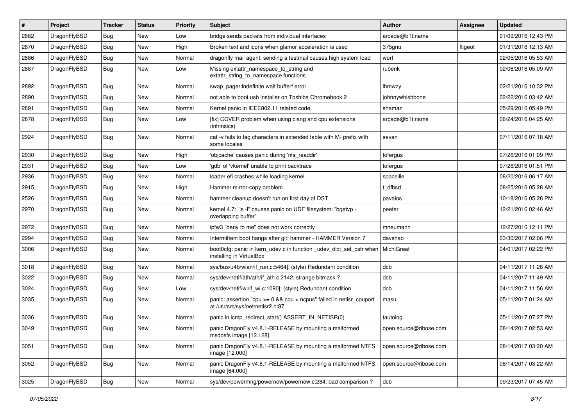| $\#$ | Project      | <b>Tracker</b> | <b>Status</b> | <b>Priority</b> | Subject                                                                                                 | <b>Author</b>          | Assignee | <b>Updated</b>      |
|------|--------------|----------------|---------------|-----------------|---------------------------------------------------------------------------------------------------------|------------------------|----------|---------------------|
| 2882 | DragonFlyBSD | <b>Bug</b>     | <b>New</b>    | Low             | bridge sends packets from individual interfaces                                                         | arcade@b1t.name        |          | 01/09/2016 12:43 PM |
| 2870 | DragonFlyBSD | <b>Bug</b>     | <b>New</b>    | High            | Broken text and icons when glamor acceleration is used                                                  | 375gnu                 | ftigeot  | 01/31/2016 12:13 AM |
| 2886 | DragonFlyBSD | Bug            | New           | Normal          | dragonfly mail agent: sending a testmail causes high system load                                        | worf                   |          | 02/05/2016 05:53 AM |
| 2887 | DragonFlyBSD | Bug            | New           | Low             | Missing extattr_namespace_to_string and<br>extattr_string_to_namespace functions                        | rubenk                 |          | 02/06/2016 05:09 AM |
| 2892 | DragonFlyBSD | <b>Bug</b>     | New           | Normal          | swap pager:indefinite wait bufferf error                                                                | <b>Ihmwzy</b>          |          | 02/21/2016 10:32 PM |
| 2890 | DragonFlyBSD | Bug            | <b>New</b>    | Normal          | not able to boot usb installer on Toshiba Chromebook 2                                                  | johnnywhishbone        |          | 02/22/2016 03:42 AM |
| 2891 | DragonFlyBSD | Bug            | New           | Normal          | Kernel panic in IEEE802.11 related code                                                                 | shamaz                 |          | 05/29/2016 05:49 PM |
| 2878 | DragonFlyBSD | Bug            | New           | Low             | [fix] CCVER problem when using clang and cpu extensions<br>(intrinsics)                                 | arcade@b1t.name        |          | 06/24/2016 04:25 AM |
| 2924 | DragonFlyBSD | Bug            | New           | Normal          | cat -v fails to tag characters in extended table with M- prefix with<br>some locales                    | sevan                  |          | 07/11/2016 07:18 AM |
| 2930 | DragonFlyBSD | <b>Bug</b>     | <b>New</b>    | High            | 'objcache' causes panic during 'nfs_readdir'                                                            | tofergus               |          | 07/26/2016 01:09 PM |
| 2931 | DragonFlyBSD | <b>Bug</b>     | New           | Low             | 'gdb' of 'vkernel' unable to print backtrace                                                            | tofergus               |          | 07/26/2016 01:51 PM |
| 2936 | DragonFlyBSD | <b>Bug</b>     | New           | Normal          | loader.efi crashes while loading kernel                                                                 | spaceille              |          | 08/20/2016 06:17 AM |
| 2915 | DragonFlyBSD | Bug            | New           | High            | Hammer mirror-copy problem                                                                              | t dfbsd                |          | 08/25/2016 05:28 AM |
| 2526 | DragonFlyBSD | Bug            | New           | Normal          | hammer cleanup doesn't run on first day of DST                                                          | pavalos                |          | 10/18/2016 05:28 PM |
| 2970 | DragonFlyBSD | <b>Bug</b>     | New           | Normal          | kernel 4.7: "Is -I" causes panic on UDF filesystem: "bgetvp -<br>overlapping buffer"                    | peeter                 |          | 12/21/2016 02:46 AM |
| 2972 | DragonFlyBSD | <b>Bug</b>     | New           | Normal          | ipfw3 "deny to me" does not work correctly                                                              | mneumann               |          | 12/27/2016 12:11 PM |
| 2994 | DragonFlyBSD | Bug            | New           | Normal          | Intermittent boot hangs after git: hammer - HAMMER Version 7                                            | davshao                |          | 03/30/2017 02:06 PM |
| 3006 | DragonFlyBSD | <b>Bug</b>     | New           | Normal          | boot0cfg: panic in kern_udev.c in function _udev_dict_set_cstr when<br>installing in VirtualBox         | <b>MichiGreat</b>      |          | 04/01/2017 02:22 PM |
| 3018 | DragonFlyBSD | <b>Bug</b>     | New           | Normal          | sys/bus/u4b/wlan/if run.c:5464]: (style) Redundant condition                                            | dcb                    |          | 04/11/2017 11:26 AM |
| 3022 | DragonFlyBSD | <b>Bug</b>     | New           | Normal          | sys/dev/netif/ath/ath/if ath.c:2142: strange bitmask?                                                   | dcb                    |          | 04/11/2017 11:49 AM |
| 3024 | DragonFlyBSD | Bug            | <b>New</b>    | Low             | sys/dev/netif/wi/if wi.c:1090]: (style) Redundant condition                                             | dcb                    |          | 04/11/2017 11:56 AM |
| 3035 | DragonFlyBSD | <b>Bug</b>     | New           | Normal          | panic: assertion "cpu >= 0 && cpu < ncpus" failed in netisr_cpuport<br>at /usr/src/sys/net/netisr2.h:87 | masu                   |          | 05/11/2017 01:24 AM |
| 3036 | DragonFlyBSD | Bug            | <b>New</b>    | Normal          | panic in icmp_redirect_start() ASSERT_IN_NETISR(0)                                                      | tautolog               |          | 05/11/2017 07:27 PM |
| 3049 | DragonFlyBSD | <b>Bug</b>     | New           | Normal          | panic DragonFly v4.8.1-RELEASE by mounting a malformed<br>msdosfs image [12.128]                        | open.source@ribose.com |          | 08/14/2017 02:53 AM |
| 3051 | DragonFlyBSD | <b>Bug</b>     | New           | Normal          | panic DragonFly v4.8.1-RELEASE by mounting a malformed NTFS<br>image [12.000]                           | open.source@ribose.com |          | 08/14/2017 03:20 AM |
| 3052 | DragonFlyBSD | <b>Bug</b>     | New           | Normal          | panic DragonFly v4.8.1-RELEASE by mounting a malformed NTFS<br>image [64.000]                           | open.source@ribose.com |          | 08/14/2017 03:22 AM |
| 3025 | DragonFlyBSD | <b>Bug</b>     | New           | Normal          | sys/dev/powermng/powernow/powernow.c:284: bad comparison?                                               | dcb                    |          | 09/23/2017 07:45 AM |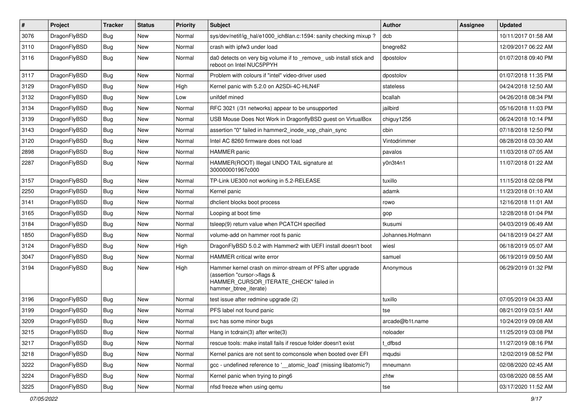| $\sharp$ | Project      | <b>Tracker</b> | <b>Status</b> | <b>Priority</b> | Subject                                                                                                                                                     | Author           | Assignee | <b>Updated</b>      |
|----------|--------------|----------------|---------------|-----------------|-------------------------------------------------------------------------------------------------------------------------------------------------------------|------------------|----------|---------------------|
| 3076     | DragonFlyBSD | <b>Bug</b>     | New           | Normal          | sys/dev/netif/ig hal/e1000 ich8lan.c:1594: sanity checking mixup?                                                                                           | dcb              |          | 10/11/2017 01:58 AM |
| 3110     | DragonFlyBSD | Bug            | <b>New</b>    | Normal          | crash with ipfw3 under load                                                                                                                                 | bnegre82         |          | 12/09/2017 06:22 AM |
| 3116     | DragonFlyBSD | Bug            | <b>New</b>    | Normal          | da0 detects on very big volume if to _remove_usb install stick and<br>reboot on Intel NUC5PPYH                                                              | dpostolov        |          | 01/07/2018 09:40 PM |
| 3117     | DragonFlyBSD | Bug            | <b>New</b>    | Normal          | Problem with colours if "intel" video-driver used                                                                                                           | dpostolov        |          | 01/07/2018 11:35 PM |
| 3129     | DragonFlyBSD | <b>Bug</b>     | <b>New</b>    | High            | Kernel panic with 5.2.0 on A2SDi-4C-HLN4F                                                                                                                   | stateless        |          | 04/24/2018 12:50 AM |
| 3132     | DragonFlyBSD | Bug            | <b>New</b>    | Low             | unifdef mined                                                                                                                                               | bcallah          |          | 04/26/2018 08:34 PM |
| 3134     | DragonFlyBSD | Bug            | <b>New</b>    | Normal          | RFC 3021 (/31 networks) appear to be unsupported                                                                                                            | jailbird         |          | 05/16/2018 11:03 PM |
| 3139     | DragonFlyBSD | Bug            | <b>New</b>    | Normal          | USB Mouse Does Not Work in DragonflyBSD guest on VirtualBox                                                                                                 | chiguy1256       |          | 06/24/2018 10:14 PM |
| 3143     | DragonFlyBSD | Bug            | <b>New</b>    | Normal          | assertion "0" failed in hammer2 inode xop chain sync                                                                                                        | cbin             |          | 07/18/2018 12:50 PM |
| 3120     | DragonFlyBSD | <b>Bug</b>     | New           | Normal          | Intel AC 8260 firmware does not load                                                                                                                        | Vintodrimmer     |          | 08/28/2018 03:30 AM |
| 2898     | DragonFlyBSD | <b>Bug</b>     | <b>New</b>    | Normal          | <b>HAMMER</b> panic                                                                                                                                         | pavalos          |          | 11/03/2018 07:05 AM |
| 2287     | DragonFlyBSD | Bug            | <b>New</b>    | Normal          | HAMMER(ROOT) Illegal UNDO TAIL signature at<br>300000001967c000                                                                                             | y0n3t4n1         |          | 11/07/2018 01:22 AM |
| 3157     | DragonFlyBSD | <b>Bug</b>     | <b>New</b>    | Normal          | TP-Link UE300 not working in 5.2-RELEASE                                                                                                                    | tuxillo          |          | 11/15/2018 02:08 PM |
| 2250     | DragonFlyBSD | Bug            | <b>New</b>    | Normal          | Kernel panic                                                                                                                                                | adamk            |          | 11/23/2018 01:10 AM |
| 3141     | DragonFlyBSD | Bug            | <b>New</b>    | Normal          | dhclient blocks boot process                                                                                                                                | rowo             |          | 12/16/2018 11:01 AM |
| 3165     | DragonFlyBSD | Bug            | <b>New</b>    | Normal          | Looping at boot time                                                                                                                                        | gop              |          | 12/28/2018 01:04 PM |
| 3184     | DragonFlyBSD | <b>Bug</b>     | New           | Normal          | tsleep(9) return value when PCATCH specified                                                                                                                | tkusumi          |          | 04/03/2019 06:49 AM |
| 1850     | DragonFlyBSD | Bug            | <b>New</b>    | Normal          | volume-add on hammer root fs panic                                                                                                                          | Johannes.Hofmann |          | 04/18/2019 04:27 AM |
| 3124     | DragonFlyBSD | Bug            | <b>New</b>    | High            | DragonFlyBSD 5.0.2 with Hammer2 with UEFI install doesn't boot                                                                                              | wiesl            |          | 06/18/2019 05:07 AM |
| 3047     | DragonFlyBSD | <b>Bug</b>     | New           | Normal          | HAMMER critical write error                                                                                                                                 | samuel           |          | 06/19/2019 09:50 AM |
| 3194     | DragonFlyBSD | Bug            | <b>New</b>    | High            | Hammer kernel crash on mirror-stream of PFS after upgrade<br>(assertion "cursor->flags &<br>HAMMER_CURSOR_ITERATE_CHECK" failed in<br>hammer_btree_iterate) | Anonymous        |          | 06/29/2019 01:32 PM |
| 3196     | DragonFlyBSD | Bug            | <b>New</b>    | Normal          | test issue after redmine upgrade (2)                                                                                                                        | tuxillo          |          | 07/05/2019 04:33 AM |
| 3199     | DragonFlyBSD | Bug            | <b>New</b>    | Normal          | PFS label not found panic                                                                                                                                   | tse              |          | 08/21/2019 03:51 AM |
| 3209     | DragonFlyBSD | Bug            | <b>New</b>    | Normal          | svc has some minor bugs                                                                                                                                     | arcade@b1t.name  |          | 10/24/2019 09:08 AM |
| 3215     | DragonFlyBSD | Bug            | New           | Normal          | Hang in todrain(3) after write(3)                                                                                                                           | noloader         |          | 11/25/2019 03:08 PM |
| 3217     | DragonFlyBSD | Bug            | New           | Normal          | rescue tools: make install fails if rescue folder doesn't exist                                                                                             | t_dfbsd          |          | 11/27/2019 08:16 PM |
| 3218     | DragonFlyBSD | <b>Bug</b>     | New           | Normal          | Kernel panics are not sent to comconsole when booted over EFI                                                                                               | mqudsi           |          | 12/02/2019 08:52 PM |
| 3222     | DragonFlyBSD | <b>Bug</b>     | New           | Normal          | gcc - undefined reference to '__atomic_load' (missing libatomic?)                                                                                           | mneumann         |          | 02/08/2020 02:45 AM |
| 3224     | DragonFlyBSD | <b>Bug</b>     | New           | Normal          | Kernel panic when trying to ping6                                                                                                                           | zhtw             |          | 03/08/2020 08:55 AM |
| 3225     | DragonFlyBSD | <b>Bug</b>     | New           | Normal          | nfsd freeze when using qemu                                                                                                                                 | tse              |          | 03/17/2020 11:52 AM |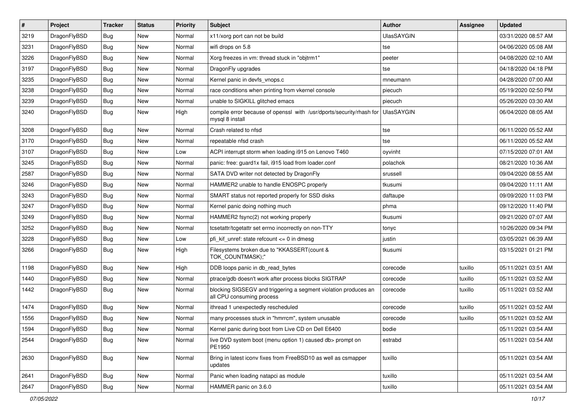| $\sharp$ | Project      | <b>Tracker</b> | <b>Status</b> | <b>Priority</b> | Subject                                                                                      | <b>Author</b>     | Assignee | <b>Updated</b>      |
|----------|--------------|----------------|---------------|-----------------|----------------------------------------------------------------------------------------------|-------------------|----------|---------------------|
| 3219     | DragonFlyBSD | <b>Bug</b>     | <b>New</b>    | Normal          | x11/xorg port can not be build                                                               | <b>UlasSAYGIN</b> |          | 03/31/2020 08:57 AM |
| 3231     | DragonFlyBSD | Bug            | New           | Normal          | wifi drops on 5.8                                                                            | tse               |          | 04/06/2020 05:08 AM |
| 3226     | DragonFlyBSD | <b>Bug</b>     | New           | Normal          | Xorg freezes in vm: thread stuck in "objtrm1"                                                | peeter            |          | 04/08/2020 02:10 AM |
| 3197     | DragonFlyBSD | <b>Bug</b>     | New           | Normal          | DragonFly upgrades                                                                           | tse               |          | 04/18/2020 04:18 PM |
| 3235     | DragonFlyBSD | Bug            | <b>New</b>    | Normal          | Kernel panic in devfs vnops.c                                                                | mneumann          |          | 04/28/2020 07:00 AM |
| 3238     | DragonFlyBSD | <b>Bug</b>     | <b>New</b>    | Normal          | race conditions when printing from vkernel console                                           | piecuch           |          | 05/19/2020 02:50 PM |
| 3239     | DragonFlyBSD | Bug            | <b>New</b>    | Normal          | unable to SIGKILL glitched emacs                                                             | piecuch           |          | 05/26/2020 03:30 AM |
| 3240     | DragonFlyBSD | <b>Bug</b>     | <b>New</b>    | High            | compile error because of openssl with /usr/dports/security/rhash for<br>mysql 8 install      | <b>UlasSAYGIN</b> |          | 06/04/2020 08:05 AM |
| 3208     | DragonFlyBSD | <b>Bug</b>     | <b>New</b>    | Normal          | Crash related to nfsd                                                                        | tse               |          | 06/11/2020 05:52 AM |
| 3170     | DragonFlyBSD | <b>Bug</b>     | New           | Normal          | repeatable nfsd crash                                                                        | tse               |          | 06/11/2020 05:52 AM |
| 3107     | DragonFlyBSD | <b>Bug</b>     | New           | Low             | ACPI interrupt storm when loading i915 on Lenovo T460                                        | oyvinht           |          | 07/15/2020 07:01 AM |
| 3245     | DragonFlyBSD | <b>Bug</b>     | <b>New</b>    | Normal          | panic: free: guard1x fail, i915 load from loader.conf                                        | polachok          |          | 08/21/2020 10:36 AM |
| 2587     | DragonFlyBSD | <b>Bug</b>     | New           | Normal          | SATA DVD writer not detected by DragonFly                                                    | srussell          |          | 09/04/2020 08:55 AM |
| 3246     | DragonFlyBSD | <b>Bug</b>     | New           | Normal          | HAMMER2 unable to handle ENOSPC properly                                                     | tkusumi           |          | 09/04/2020 11:11 AM |
| 3243     | DragonFlyBSD | <b>Bug</b>     | <b>New</b>    | Normal          | SMART status not reported properly for SSD disks                                             | daftaupe          |          | 09/09/2020 11:03 PM |
| 3247     | DragonFlyBSD | <b>Bug</b>     | <b>New</b>    | Normal          | Kernel panic doing nothing much                                                              | phma              |          | 09/12/2020 11:40 PM |
| 3249     | DragonFlyBSD | <b>Bug</b>     | <b>New</b>    | Normal          | HAMMER2 fsync(2) not working properly                                                        | tkusumi           |          | 09/21/2020 07:07 AM |
| 3252     | DragonFlyBSD | <b>Bug</b>     | New           | Normal          | tcsetattr/tcgetattr set errno incorrectly on non-TTY                                         | tonyc             |          | 10/26/2020 09:34 PM |
| 3228     | DragonFlyBSD | <b>Bug</b>     | <b>New</b>    | Low             | pfi kif unref: state refcount $\leq$ 0 in dmesg                                              | justin            |          | 03/05/2021 06:39 AM |
| 3266     | DragonFlyBSD | <b>Bug</b>     | New           | High            | Filesystems broken due to "KKASSERT(count &<br>TOK_COUNTMASK);"                              | tkusumi           |          | 03/15/2021 01:21 PM |
| 1198     | DragonFlyBSD | <b>Bug</b>     | New           | High            | DDB loops panic in db_read_bytes                                                             | corecode          | tuxillo  | 05/11/2021 03:51 AM |
| 1440     | DragonFlyBSD | <b>Bug</b>     | New           | Normal          | ptrace/gdb doesn't work after process blocks SIGTRAP                                         | corecode          | tuxillo  | 05/11/2021 03:52 AM |
| 1442     | DragonFlyBSD | <b>Bug</b>     | New           | Normal          | blocking SIGSEGV and triggering a segment violation produces an<br>all CPU consuming process | corecode          | tuxillo  | 05/11/2021 03:52 AM |
| 1474     | DragonFlyBSD | <b>Bug</b>     | New           | Normal          | ithread 1 unexpectedly rescheduled                                                           | corecode          | tuxillo  | 05/11/2021 03:52 AM |
| 1556     | DragonFlyBSD | <b>Bug</b>     | New           | Normal          | many processes stuck in "hmrrcm", system unusable                                            | corecode          | tuxillo  | 05/11/2021 03:52 AM |
| 1594     | DragonFlyBSD | Bug            | <b>New</b>    | Normal          | Kernel panic during boot from Live CD on Dell E6400                                          | bodie             |          | 05/11/2021 03:54 AM |
| 2544     | DragonFlyBSD | Bug            | New           | Normal          | live DVD system boot (menu option 1) caused db> prompt on<br>PE1950                          | estrabd           |          | 05/11/2021 03:54 AM |
| 2630     | DragonFlyBSD | <b>Bug</b>     | <b>New</b>    | Normal          | Bring in latest iconv fixes from FreeBSD10 as well as csmapper<br>updates                    | tuxillo           |          | 05/11/2021 03:54 AM |
| 2641     | DragonFlyBSD | Bug            | <b>New</b>    | Normal          | Panic when loading natapci as module                                                         | tuxillo           |          | 05/11/2021 03:54 AM |
| 2647     | DragonFlyBSD | <b>Bug</b>     | New           | Normal          | HAMMER panic on 3.6.0                                                                        | tuxillo           |          | 05/11/2021 03:54 AM |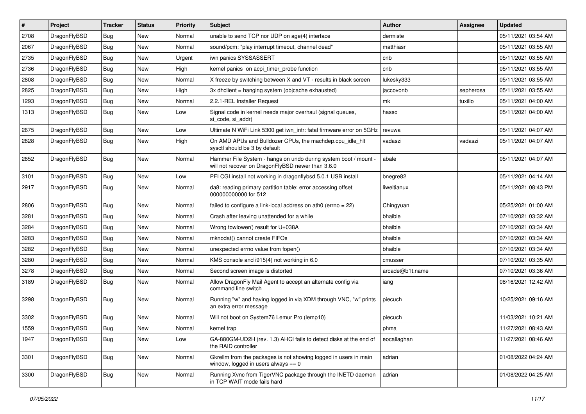| $\sharp$ | Project      | <b>Tracker</b> | <b>Status</b> | <b>Priority</b> | Subject                                                                                                              | <b>Author</b>   | Assignee  | <b>Updated</b>      |
|----------|--------------|----------------|---------------|-----------------|----------------------------------------------------------------------------------------------------------------------|-----------------|-----------|---------------------|
| 2708     | DragonFlyBSD | <b>Bug</b>     | New           | Normal          | unable to send TCP nor UDP on age(4) interface                                                                       | dermiste        |           | 05/11/2021 03:54 AM |
| 2067     | DragonFlyBSD | <b>Bug</b>     | New           | Normal          | sound/pcm: "play interrupt timeout, channel dead"                                                                    | matthiasr       |           | 05/11/2021 03:55 AM |
| 2735     | DragonFlyBSD | <b>Bug</b>     | New           | Urgent          | iwn panics SYSSASSERT                                                                                                | cnb             |           | 05/11/2021 03:55 AM |
| 2736     | DragonFlyBSD | <b>Bug</b>     | New           | High            | kernel panics on acpi_timer_probe function                                                                           | cnb             |           | 05/11/2021 03:55 AM |
| 2808     | DragonFlyBSD | <b>Bug</b>     | <b>New</b>    | Normal          | X freeze by switching between X and VT - results in black screen                                                     | lukesky333      |           | 05/11/2021 03:55 AM |
| 2825     | DragonFlyBSD | <b>Bug</b>     | <b>New</b>    | High            | 3x dhclient = hanging system (objcache exhausted)                                                                    | jaccovonb       | sepherosa | 05/11/2021 03:55 AM |
| 1293     | DragonFlyBSD | <b>Bug</b>     | New           | Normal          | 2.2.1-REL Installer Request                                                                                          | mk              | tuxillo   | 05/11/2021 04:00 AM |
| 1313     | DragonFlyBSD | <b>Bug</b>     | <b>New</b>    | Low             | Signal code in kernel needs major overhaul (signal queues,<br>si code, si addr)                                      | hasso           |           | 05/11/2021 04:00 AM |
| 2675     | DragonFlyBSD | <b>Bug</b>     | <b>New</b>    | Low             | Ultimate N WiFi Link 5300 get iwn_intr: fatal firmware error on 5GHz                                                 | revuwa          |           | 05/11/2021 04:07 AM |
| 2828     | DragonFlyBSD | <b>Bug</b>     | New           | High            | On AMD APUs and Bulldozer CPUs, the machdep.cpu_idle_hlt<br>sysctl should be 3 by default                            | vadaszi         | vadaszi   | 05/11/2021 04:07 AM |
| 2852     | DragonFlyBSD | <b>Bug</b>     | New           | Normal          | Hammer File System - hangs on undo during system boot / mount -<br>will not recover on DragonFlyBSD newer than 3.6.0 | abale           |           | 05/11/2021 04:07 AM |
| 3101     | DragonFlyBSD | <b>Bug</b>     | New           | Low             | PFI CGI install not working in dragonflybsd 5.0.1 USB install                                                        | bnegre82        |           | 05/11/2021 04:14 AM |
| 2917     | DragonFlyBSD | <b>Bug</b>     | <b>New</b>    | Normal          | da8: reading primary partition table: error accessing offset<br>000000000000 for 512                                 | liweitianux     |           | 05/11/2021 08:43 PM |
| 2806     | DragonFlyBSD | <b>Bug</b>     | <b>New</b>    | Normal          | failed to configure a link-local address on ath0 (errno = 22)                                                        | Chingyuan       |           | 05/25/2021 01:00 AM |
| 3281     | DragonFlyBSD | <b>Bug</b>     | New           | Normal          | Crash after leaving unattended for a while                                                                           | bhaible         |           | 07/10/2021 03:32 AM |
| 3284     | DragonFlyBSD | <b>Bug</b>     | New           | Normal          | Wrong towlower() result for U+038A                                                                                   | bhaible         |           | 07/10/2021 03:34 AM |
| 3283     | DragonFlyBSD | <b>Bug</b>     | <b>New</b>    | Normal          | mknodat() cannot create FIFOs                                                                                        | bhaible         |           | 07/10/2021 03:34 AM |
| 3282     | DragonFlyBSD | <b>Bug</b>     | <b>New</b>    | Normal          | unexpected errno value from fopen()                                                                                  | bhaible         |           | 07/10/2021 03:34 AM |
| 3280     | DragonFlyBSD | <b>Bug</b>     | <b>New</b>    | Normal          | KMS console and i915(4) not working in 6.0                                                                           | cmusser         |           | 07/10/2021 03:35 AM |
| 3278     | DragonFlyBSD | <b>Bug</b>     | New           | Normal          | Second screen image is distorted                                                                                     | arcade@b1t.name |           | 07/10/2021 03:36 AM |
| 3189     | DragonFlyBSD | <b>Bug</b>     | New           | Normal          | Allow DragonFly Mail Agent to accept an alternate config via<br>command line switch                                  | iang            |           | 08/16/2021 12:42 AM |
| 3298     | DragonFlyBSD | <b>Bug</b>     | New           | Normal          | Running "w" and having logged in via XDM through VNC, "w" prints<br>an extra error message                           | piecuch         |           | 10/25/2021 09:16 AM |
| 3302     | DragonFlyBSD | <b>Bug</b>     | <b>New</b>    | Normal          | Will not boot on System76 Lemur Pro (lemp10)                                                                         | piecuch         |           | 11/03/2021 10:21 AM |
| 1559     | DragonFlyBSD | <b>Bug</b>     | <b>New</b>    | Normal          | kernel trap                                                                                                          | phma            |           | 11/27/2021 08:43 AM |
| 1947     | DragonFlyBSD | <b>Bug</b>     | New           | Low             | GA-880GM-UD2H (rev. 1.3) AHCI fails to detect disks at the end of<br>the RAID controller                             | eocallaghan     |           | 11/27/2021 08:46 AM |
| 3301     | DragonFlyBSD | <b>Bug</b>     | <b>New</b>    | Normal          | Gkrellm from the packages is not showing logged in users in main<br>window, logged in users always $== 0$            | adrian          |           | 01/08/2022 04:24 AM |
| 3300     | DragonFlyBSD | Bug            | New           | Normal          | Running Xvnc from TigerVNC package through the INETD daemon<br>in TCP WAIT mode fails hard                           | adrian          |           | 01/08/2022 04:25 AM |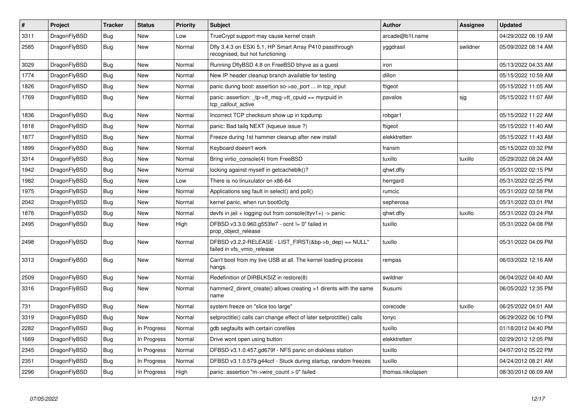| $\vert$ # | Project      | <b>Tracker</b> | <b>Status</b> | Priority | <b>Subject</b>                                                                             | Author            | Assignee | <b>Updated</b>      |
|-----------|--------------|----------------|---------------|----------|--------------------------------------------------------------------------------------------|-------------------|----------|---------------------|
| 3311      | DragonFlyBSD | <b>Bug</b>     | <b>New</b>    | Low      | TrueCrypt support may cause kernel crash                                                   | arcade@b1t.name   |          | 04/29/2022 06:19 AM |
| 2585      | DragonFlyBSD | <b>Bug</b>     | New           | Normal   | Dfly 3.4.3 on ESXi 5.1, HP Smart Array P410 passthrough<br>recognised, but not functioning | yggdrasil         | swildner | 05/09/2022 08:14 AM |
| 3029      | DragonFlyBSD | <b>Bug</b>     | New           | Normal   | Running DflyBSD 4.8 on FreeBSD bhyve as a guest                                            | iron              |          | 05/13/2022 04:33 AM |
| 1774      | DragonFlyBSD | <b>Bug</b>     | <b>New</b>    | Normal   | New IP header cleanup branch available for testing                                         | dillon            |          | 05/15/2022 10:59 AM |
| 1826      | DragonFlyBSD | Bug            | New           | Normal   | panic during boot: assertion so->so port  in tcp input                                     | ftigeot           |          | 05/15/2022 11:05 AM |
| 1769      | DragonFlyBSD | <b>Bug</b>     | New           | Normal   | panic: assertion: _tp->tt_msg->tt_cpuid == mycpuid in<br>tcp callout active                | pavalos           | sjg      | 05/15/2022 11:07 AM |
| 1836      | DragonFlyBSD | Bug            | <b>New</b>    | Normal   | Incorrect TCP checksum show up in tcpdump                                                  | robgar1           |          | 05/15/2022 11:22 AM |
| 1818      | DragonFlyBSD | Bug            | New           | Normal   | panic: Bad tailq NEXT (kqueue issue ?)                                                     | ftigeot           |          | 05/15/2022 11:40 AM |
| 1877      | DragonFlyBSD | <b>Bug</b>     | <b>New</b>    | Normal   | Freeze during 1st hammer cleanup after new install                                         | elekktretterr     |          | 05/15/2022 11:43 AM |
| 1899      | DragonFlyBSD | <b>Bug</b>     | <b>New</b>    | Normal   | Keyboard doesn't work                                                                      | fransm            |          | 05/15/2022 03:32 PM |
| 3314      | DragonFlyBSD | Bug            | <b>New</b>    | Normal   | Bring virtio console(4) from FreeBSD                                                       | tuxillo           | tuxillo  | 05/29/2022 08:24 AM |
| 1942      | DragonFlyBSD | <b>Bug</b>     | <b>New</b>    | Normal   | locking against myself in getcacheblk()?                                                   | qhwt.dfly         |          | 05/31/2022 02:15 PM |
| 1982      | DragonFlyBSD | Bug            | New           | Low      | There is no linuxulator on x86-64                                                          | herrgard          |          | 05/31/2022 02:25 PM |
| 1975      | DragonFlyBSD | <b>Bug</b>     | <b>New</b>    | Normal   | Applications seg fault in select() and poll()                                              | rumcic            |          | 05/31/2022 02:58 PM |
| 2042      | DragonFlyBSD | Bug            | New           | Normal   | kernel panic, when run boot0cfg                                                            | sepherosa         |          | 05/31/2022 03:01 PM |
| 1876      | DragonFlyBSD | <b>Bug</b>     | New           | Normal   | devfs in $ ail + logging$ out from console(ttyv1+) -> panic                                | qhwt.dfly         | tuxillo  | 05/31/2022 03:24 PM |
| 2495      | DragonFlyBSD | Bug            | New           | High     | DFBSD v3.3.0.960.g553fe7 - ocnt != 0" failed in<br>prop_object_release                     | tuxillo           |          | 05/31/2022 04:08 PM |
| 2498      | DragonFlyBSD | <b>Bug</b>     | New           | Normal   | DFBSD v3.2.2-RELEASE - LIST FIRST(&bp->b dep) == NULL"<br>failed in vfs_vmio_release       | tuxillo           |          | 05/31/2022 04:09 PM |
| 3313      | DragonFlyBSD | <b>Bug</b>     | <b>New</b>    | Normal   | Can't boot from my live USB at all. The kernel loading process<br>hangs.                   | rempas            |          | 06/03/2022 12:16 AM |
| 2509      | DragonFlyBSD | <b>Bug</b>     | <b>New</b>    | Normal   | Redefinition of DIRBLKSIZ in restore(8)                                                    | swildner          |          | 06/04/2022 04:40 AM |
| 3316      | DragonFlyBSD | Bug            | New           | Normal   | hammer2_dirent_create() allows creating >1 dirents with the same<br>name                   | tkusumi           |          | 06/05/2022 12:35 PM |
| 731       | DragonFlyBSD | <b>Bug</b>     | <b>New</b>    | Normal   | system freeze on "slice too large"                                                         | corecode          | tuxillo  | 06/25/2022 04:01 AM |
| 3319      | DragonFlyBSD | Bug            | New           | Normal   | setproctitle() calls can change effect of later setproctitle() calls                       | tonyc             |          | 06/29/2022 06:10 PM |
| 2282      | DragonFlyBSD | <b>Bug</b>     | In Progress   | Normal   | gdb segfaults with certain corefiles                                                       | tuxillo           |          | 01/18/2012 04:40 PM |
| 1669      | DragonFlyBSD | Bug            | In Progress   | Normal   | Drive wont open using button                                                               | elekktretterr     |          | 02/29/2012 12:05 PM |
| 2345      | DragonFlyBSD | <b>Bug</b>     | In Progress   | Normal   | DFBSD v3.1.0.457.gd679f - NFS panic on diskless station                                    | tuxillo           |          | 04/07/2012 05:22 PM |
| 2351      | DragonFlyBSD | Bug            | In Progress   | Normal   | DFBSD v3.1.0.579.g44ccf - Stuck during startup, random freezes                             | tuxillo           |          | 04/24/2012 08:21 AM |
| 2296      | DragonFlyBSD | Bug            | In Progress   | High     | panic: assertion "m->wire_count > 0" failed                                                | thomas.nikolajsen |          | 08/30/2012 06:09 AM |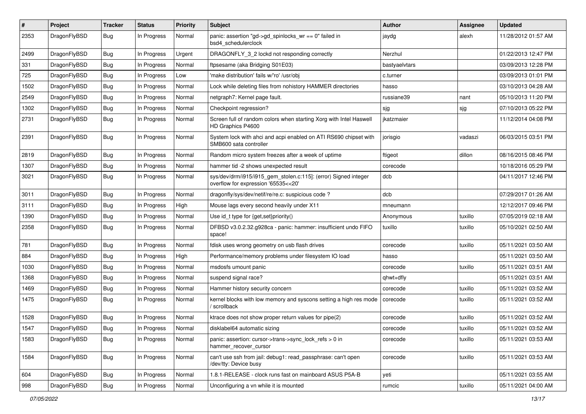| $\pmb{\#}$ | Project      | <b>Tracker</b> | <b>Status</b> | <b>Priority</b> | Subject                                                                                                | <b>Author</b> | Assignee | <b>Updated</b>      |
|------------|--------------|----------------|---------------|-----------------|--------------------------------------------------------------------------------------------------------|---------------|----------|---------------------|
| 2353       | DragonFlyBSD | Bug            | In Progress   | Normal          | panic: assertion "gd->gd_spinlocks_wr == 0" failed in<br>bsd4 schedulerclock                           | jaydg         | alexh    | 11/28/2012 01:57 AM |
| 2499       | DragonFlyBSD | <b>Bug</b>     | In Progress   | Urgent          | DRAGONFLY 3 2 lockd not responding correctly                                                           | Nerzhul       |          | 01/22/2013 12:47 PM |
| 331        | DragonFlyBSD | Bug            | In Progress   | Normal          | ftpsesame (aka Bridging S01E03)                                                                        | bastyaelvtars |          | 03/09/2013 12:28 PM |
| 725        | DragonFlyBSD | <b>Bug</b>     | In Progress   | Low             | 'make distribution' fails w/'ro' /usr/obj                                                              | c.turner      |          | 03/09/2013 01:01 PM |
| 1502       | DragonFlyBSD | <b>Bug</b>     | In Progress   | Normal          | Lock while deleting files from nohistory HAMMER directories                                            | hasso         |          | 03/10/2013 04:28 AM |
| 2549       | DragonFlyBSD | <b>Bug</b>     | In Progress   | Normal          | netgraph7: Kernel page fault.                                                                          | russiane39    | nant     | 05/10/2013 11:20 PM |
| 1302       | DragonFlyBSD | <b>Bug</b>     | In Progress   | Normal          | Checkpoint regression?                                                                                 | sjg           | sjg      | 07/10/2013 05:22 PM |
| 2731       | DragonFlyBSD | Bug            | In Progress   | Normal          | Screen full of random colors when starting Xorg with Intel Haswell<br>HD Graphics P4600                | jkatzmaier    |          | 11/12/2014 04:08 PM |
| 2391       | DragonFlyBSD | <b>Bug</b>     | In Progress   | Normal          | System lock with ahci and acpi enabled on ATI RS690 chipset with<br>SMB600 sata controller             | jorisgio      | vadaszi  | 06/03/2015 03:51 PM |
| 2819       | DragonFlyBSD | <b>Bug</b>     | In Progress   | Normal          | Random micro system freezes after a week of uptime                                                     | ftigeot       | dillon   | 08/16/2015 08:46 PM |
| 1307       | DragonFlyBSD | <b>Bug</b>     | In Progress   | Normal          | hammer tid -2 shows unexpected result                                                                  | corecode      |          | 10/18/2016 05:29 PM |
| 3021       | DragonFlyBSD | Bug            | In Progress   | Normal          | sys/dev/drm/i915/i915_gem_stolen.c:115]: (error) Signed integer<br>overflow for expression '65535<<20' | dcb           |          | 04/11/2017 12:46 PM |
| 3011       | DragonFlyBSD | Bug            | In Progress   | Normal          | dragonfly/sys/dev/netif/re/re.c: suspicious code ?                                                     | dcb           |          | 07/29/2017 01:26 AM |
| 3111       | DragonFlyBSD | <b>Bug</b>     | In Progress   | High            | Mouse lags every second heavily under X11                                                              | mneumann      |          | 12/12/2017 09:46 PM |
| 1390       | DragonFlyBSD | Bug            | In Progress   | Normal          | Use id_t type for {get,set}priority()                                                                  | Anonymous     | tuxillo  | 07/05/2019 02:18 AM |
| 2358       | DragonFlyBSD | Bug            | In Progress   | Normal          | DFBSD v3.0.2.32.g928ca - panic: hammer: insufficient undo FIFO<br>space!                               | tuxillo       | tuxillo  | 05/10/2021 02:50 AM |
| 781        | DragonFlyBSD | <b>Bug</b>     | In Progress   | Normal          | fdisk uses wrong geometry on usb flash drives                                                          | corecode      | tuxillo  | 05/11/2021 03:50 AM |
| 884        | DragonFlyBSD | Bug            | In Progress   | High            | Performance/memory problems under filesystem IO load                                                   | hasso         |          | 05/11/2021 03:50 AM |
| 1030       | DragonFlyBSD | <b>Bug</b>     | In Progress   | Normal          | msdosfs umount panic                                                                                   | corecode      | tuxillo  | 05/11/2021 03:51 AM |
| 1368       | DragonFlyBSD | Bug            | In Progress   | Normal          | suspend signal race?                                                                                   | qhwt+dfly     |          | 05/11/2021 03:51 AM |
| 1469       | DragonFlyBSD | <b>Bug</b>     | In Progress   | Normal          | Hammer history security concern                                                                        | corecode      | tuxillo  | 05/11/2021 03:52 AM |
| 1475       | DragonFlyBSD | Bug            | In Progress   | Normal          | kernel blocks with low memory and syscons setting a high res mode<br>scrollback                        | corecode      | tuxillo  | 05/11/2021 03:52 AM |
| 1528       | DragonFlyBSD | <b>Bug</b>     | In Progress   | Normal          | ktrace does not show proper return values for pipe(2)                                                  | corecode      | tuxillo  | 05/11/2021 03:52 AM |
| 1547       | DragonFlyBSD | <b>Bug</b>     | In Progress   | Normal          | disklabel64 automatic sizing                                                                           | corecode      | tuxillo  | 05/11/2021 03:52 AM |
| 1583       | DragonFlyBSD | <b>Bug</b>     | In Progress   | Normal          | panic: assertion: cursor->trans->sync_lock_refs > 0 in<br>hammer recover cursor                        | corecode      | tuxillo  | 05/11/2021 03:53 AM |
| 1584       | DragonFlyBSD | <b>Bug</b>     | In Progress   | Normal          | can't use ssh from jail: debug1: read passphrase: can't open<br>/dev/tty: Device busy                  | corecode      | tuxillo  | 05/11/2021 03:53 AM |
| 604        | DragonFlyBSD | <b>Bug</b>     | In Progress   | Normal          | 1.8.1-RELEASE - clock runs fast on mainboard ASUS P5A-B                                                | yeti          |          | 05/11/2021 03:55 AM |
| 998        | DragonFlyBSD | <b>Bug</b>     | In Progress   | Normal          | Unconfiguring a vn while it is mounted                                                                 | rumcic        | tuxillo  | 05/11/2021 04:00 AM |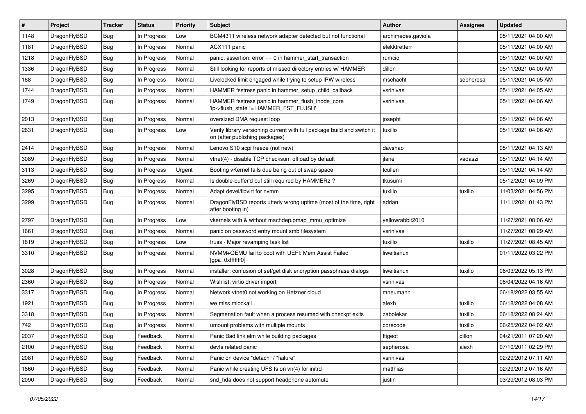| #    | Project      | <b>Tracker</b> | <b>Status</b> | <b>Priority</b> | <b>Subject</b>                                                                                            | <b>Author</b>      | Assignee  | <b>Updated</b>      |
|------|--------------|----------------|---------------|-----------------|-----------------------------------------------------------------------------------------------------------|--------------------|-----------|---------------------|
| 1148 | DragonFlyBSD | <b>Bug</b>     | In Progress   | Low             | BCM4311 wireless network adapter detected but not functional                                              | archimedes.gaviola |           | 05/11/2021 04:00 AM |
| 1181 | DragonFlyBSD | <b>Bug</b>     | In Progress   | Normal          | ACX111 panic                                                                                              | elekktretterr      |           | 05/11/2021 04:00 AM |
| 1218 | DragonFlyBSD | <b>Bug</b>     | In Progress   | Normal          | panic: assertion: $error == 0$ in hammer start transaction                                                | rumcic             |           | 05/11/2021 04:00 AM |
| 1336 | DragonFlyBSD | <b>Bug</b>     | In Progress   | Normal          | Still looking for reports of missed directory entries w/ HAMMER                                           | dillon             |           | 05/11/2021 04:00 AM |
| 168  | DragonFlyBSD | <b>Bug</b>     | In Progress   | Normal          | Livelocked limit engaged while trying to setup IPW wireless                                               | mschacht           | sepherosa | 05/11/2021 04:05 AM |
| 1744 | DragonFlyBSD | <b>Bug</b>     | In Progress   | Normal          | HAMMER fsstress panic in hammer setup child callback                                                      | vsrinivas          |           | 05/11/2021 04:05 AM |
| 1749 | DragonFlyBSD | Bug            | In Progress   | Normal          | HAMMER fsstress panic in hammer_flush_inode_core<br>'ip->flush state != HAMMER FST FLUSH'                 | vsrinivas          |           | 05/11/2021 04:06 AM |
| 2013 | DragonFlyBSD | <b>Bug</b>     | In Progress   | Normal          | oversized DMA request loop                                                                                | josepht            |           | 05/11/2021 04:06 AM |
| 2631 | DragonFlyBSD | Bug            | In Progress   | Low             | Verify library versioning current with full package build and switch it<br>on (after publishing packages) | tuxillo            |           | 05/11/2021 04:06 AM |
| 2414 | DragonFlyBSD | <b>Bug</b>     | In Progress   | Normal          | Lenovo S10 acpi freeze (not new)                                                                          | davshao            |           | 05/11/2021 04:13 AM |
| 3089 | DragonFlyBSD | <b>Bug</b>     | In Progress   | Normal          | vtnet(4) - disable TCP checksum offload by default                                                        | jlane              | vadaszi   | 05/11/2021 04:14 AM |
| 3113 | DragonFlyBSD | <b>Bug</b>     | In Progress   | Urgent          | Booting vKernel fails due being out of swap space                                                         | tcullen            |           | 05/11/2021 04:14 AM |
| 3269 | DragonFlyBSD | <b>Bug</b>     | In Progress   | Normal          | Is double-buffer'd buf still required by HAMMER2?                                                         | tkusumi            |           | 05/12/2021 04:09 PM |
| 3295 | DragonFlyBSD | <b>Bug</b>     | In Progress   | Normal          | Adapt devel/libvirt for nvmm                                                                              | tuxillo            | tuxillo   | 11/03/2021 04:56 PM |
| 3299 | DragonFlyBSD | <b>Bug</b>     | In Progress   | Normal          | DragonFlyBSD reports utterly wrong uptime (most of the time, right<br>after booting in)                   | adrian             |           | 11/11/2021 01:43 PM |
| 2797 | DragonFlyBSD | <b>Bug</b>     | In Progress   | Low             | vkernels with & without machdep.pmap mmu optimize                                                         | yellowrabbit2010   |           | 11/27/2021 08:06 AM |
| 1661 | DragonFlyBSD | <b>Bug</b>     | In Progress   | Normal          | panic on password entry mount smb filesystem                                                              | vsrinivas          |           | 11/27/2021 08:29 AM |
| 1819 | DragonFlyBSD | <b>Bug</b>     | In Progress   | Low             | truss - Major revamping task list                                                                         | tuxillo            | tuxillo   | 11/27/2021 08:45 AM |
| 3310 | DragonFlyBSD | <b>Bug</b>     | In Progress   | Normal          | NVMM+QEMU fail to boot with UEFI: Mem Assist Failed<br>[gpa=0xfffffff0]                                   | liweitianux        |           | 01/11/2022 03:22 PM |
| 3028 | DragonFlyBSD | <b>Bug</b>     | In Progress   | Normal          | installer: confusion of set/get disk encryption passphrase dialogs                                        | liweitianux        | tuxillo   | 06/03/2022 05:13 PM |
| 2360 | DragonFlyBSD | <b>Bug</b>     | In Progress   | Normal          | Wishlist: virtio driver import                                                                            | vsrinivas          |           | 06/04/2022 04:16 AM |
| 3317 | DragonFlyBSD | Bug            | In Progress   | Normal          | Network vtnet0 not working on Hetzner cloud                                                               | mneumann           |           | 06/18/2022 03:55 AM |
| 1921 | DragonFlyBSD | <b>Bug</b>     | In Progress   | Normal          | we miss mlockall                                                                                          | alexh              | tuxillo   | 06/18/2022 04:08 AM |
| 3318 | DragonFlyBSD | <b>Bug</b>     | In Progress   | Normal          | Segmenation fault when a process resumed with checkpt exits                                               | zabolekar          | tuxillo   | 06/18/2022 08:24 AM |
| 742  | DragonFlyBSD | Bug            | In Progress   | Normal          | umount problems with multiple mounts                                                                      | corecode           | tuxillo   | 06/25/2022 04:02 AM |
| 2037 | DragonFlyBSD | <b>Bug</b>     | Feedback      | Normal          | Panic Bad link elm while building packages                                                                | ftigeot            | dillon    | 04/21/2011 07:20 AM |
| 2100 | DragonFlyBSD | <b>Bug</b>     | Feedback      | Normal          | devfs related panic                                                                                       | sepherosa          | alexh     | 07/10/2011 02:29 PM |
| 2081 | DragonFlyBSD | <b>Bug</b>     | Feedback      | Normal          | Panic on device "detach" / "failure"                                                                      | vsrinivas          |           | 02/29/2012 07:11 AM |
| 1860 | DragonFlyBSD | Bug            | Feedback      | Normal          | Panic while creating UFS fs on vn(4) for initrd                                                           | matthias           |           | 02/29/2012 07:16 AM |
| 2090 | DragonFlyBSD | <b>Bug</b>     | Feedback      | Normal          | snd_hda does not support headphone automute                                                               | justin             |           | 03/29/2012 08:03 PM |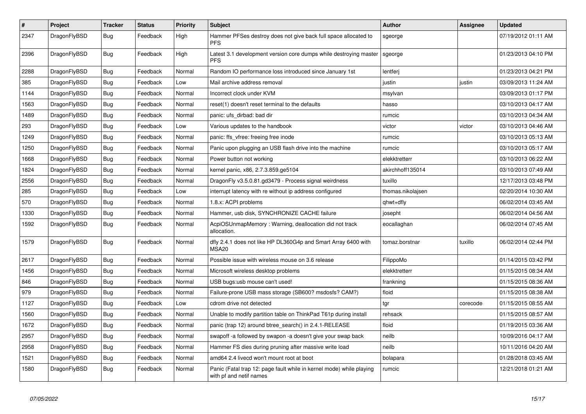| $\pmb{\#}$ | Project      | <b>Tracker</b> | <b>Status</b> | <b>Priority</b> | <b>Subject</b>                                                                                  | <b>Author</b>     | Assignee | Updated             |
|------------|--------------|----------------|---------------|-----------------|-------------------------------------------------------------------------------------------------|-------------------|----------|---------------------|
| 2347       | DragonFlyBSD | Bug            | Feedback      | High            | Hammer PFSes destroy does not give back full space allocated to<br><b>PFS</b>                   | sgeorge           |          | 07/19/2012 01:11 AM |
| 2396       | DragonFlyBSD | Bug            | Feedback      | High            | Latest 3.1 development version core dumps while destroying master<br><b>PFS</b>                 | sgeorge           |          | 01/23/2013 04:10 PM |
| 2288       | DragonFlyBSD | Bug            | Feedback      | Normal          | Random IO performance loss introduced since January 1st                                         | lentferj          |          | 01/23/2013 04:21 PM |
| 385        | DragonFlyBSD | Bug            | Feedback      | Low             | Mail archive address removal                                                                    | justin            | justin   | 03/09/2013 11:24 AM |
| 1144       | DragonFlyBSD | Bug            | Feedback      | Normal          | Incorrect clock under KVM                                                                       | msylvan           |          | 03/09/2013 01:17 PM |
| 1563       | DragonFlyBSD | <b>Bug</b>     | Feedback      | Normal          | reset(1) doesn't reset terminal to the defaults                                                 | hasso             |          | 03/10/2013 04:17 AM |
| 1489       | DragonFlyBSD | <b>Bug</b>     | Feedback      | Normal          | panic: ufs dirbad: bad dir                                                                      | rumcic            |          | 03/10/2013 04:34 AM |
| 293        | DragonFlyBSD | Bug            | Feedback      | Low             | Various updates to the handbook                                                                 | victor            | victor   | 03/10/2013 04:46 AM |
| 1249       | DragonFlyBSD | Bug            | Feedback      | Normal          | panic: ffs_vfree: freeing free inode                                                            | rumcic            |          | 03/10/2013 05:13 AM |
| 1250       | DragonFlyBSD | Bug            | Feedback      | Normal          | Panic upon plugging an USB flash drive into the machine                                         | rumcic            |          | 03/10/2013 05:17 AM |
| 1668       | DragonFlyBSD | <b>Bug</b>     | Feedback      | Normal          | Power button not working                                                                        | elekktretterr     |          | 03/10/2013 06:22 AM |
| 1824       | DragonFlyBSD | Bug            | Feedback      | Normal          | kernel panic, x86, 2.7.3.859.ge5104                                                             | akirchhoff135014  |          | 03/10/2013 07:49 AM |
| 2556       | DragonFlyBSD | Bug            | Feedback      | Normal          | DragonFly v3.5.0.81.gd3479 - Process signal weirdness                                           | tuxillo           |          | 12/17/2013 03:48 PM |
| 285        | DragonFlyBSD | <b>Bug</b>     | Feedback      | Low             | interrupt latency with re without ip address configured                                         | thomas.nikolajsen |          | 02/20/2014 10:30 AM |
| 570        | DragonFlyBSD | Bug            | Feedback      | Normal          | 1.8.x: ACPI problems                                                                            | qhwt+dfly         |          | 06/02/2014 03:45 AM |
| 1330       | DragonFlyBSD | Bug            | Feedback      | Normal          | Hammer, usb disk, SYNCHRONIZE CACHE failure                                                     | josepht           |          | 06/02/2014 04:56 AM |
| 1592       | DragonFlyBSD | <b>Bug</b>     | Feedback      | Normal          | AcpiOSUnmapMemory: Warning, deallocation did not track<br>allocation.                           | eocallaghan       |          | 06/02/2014 07:45 AM |
| 1579       | DragonFlyBSD | <b>Bug</b>     | Feedback      | Normal          | dfly 2.4.1 does not like HP DL360G4p and Smart Array 6400 with<br><b>MSA20</b>                  | tomaz.borstnar    | tuxillo  | 06/02/2014 02:44 PM |
| 2617       | DragonFlyBSD | Bug            | Feedback      | Normal          | Possible issue with wireless mouse on 3.6 release                                               | FilippoMo         |          | 01/14/2015 03:42 PM |
| 1456       | DragonFlyBSD | <b>Bug</b>     | Feedback      | Normal          | Microsoft wireless desktop problems                                                             | elekktretterr     |          | 01/15/2015 08:34 AM |
| 846        | DragonFlyBSD | <b>Bug</b>     | Feedback      | Normal          | USB bugs:usb mouse can't used!                                                                  | frankning         |          | 01/15/2015 08:36 AM |
| 979        | DragonFlyBSD | <b>Bug</b>     | Feedback      | Normal          | Failure-prone USB mass storage (SB600? msdosfs? CAM?)                                           | floid             |          | 01/15/2015 08:38 AM |
| 1127       | DragonFlyBSD | Bug            | Feedback      | Low             | cdrom drive not detected                                                                        | tgr               | corecode | 01/15/2015 08:55 AM |
| 1560       | DragonFlyBSD | Bug            | Feedback      | Normal          | Unable to modify partition table on ThinkPad T61p during install                                | rehsack           |          | 01/15/2015 08:57 AM |
| 1672       | DragonFlyBSD | Bug            | Feedback      | Normal          | panic (trap 12) around btree search() in 2.4.1-RELEASE                                          | floid             |          | 01/19/2015 03:36 AM |
| 2957       | DragonFlyBSD | <b>Bug</b>     | Feedback      | Normal          | swapoff -a followed by swapon -a doesn't give your swap back                                    | neilb             |          | 10/09/2016 04:17 AM |
| 2958       | DragonFlyBSD | Bug            | Feedback      | Normal          | Hammer FS dies during pruning after massive write load                                          | neilb             |          | 10/11/2016 04:20 AM |
| 1521       | DragonFlyBSD | Bug            | Feedback      | Normal          | amd64 2.4 livecd won't mount root at boot                                                       | bolapara          |          | 01/28/2018 03:45 AM |
| 1580       | DragonFlyBSD | Bug            | Feedback      | Normal          | Panic (Fatal trap 12: page fault while in kernel mode) while playing<br>with pf and netif names | rumcic            |          | 12/21/2018 01:21 AM |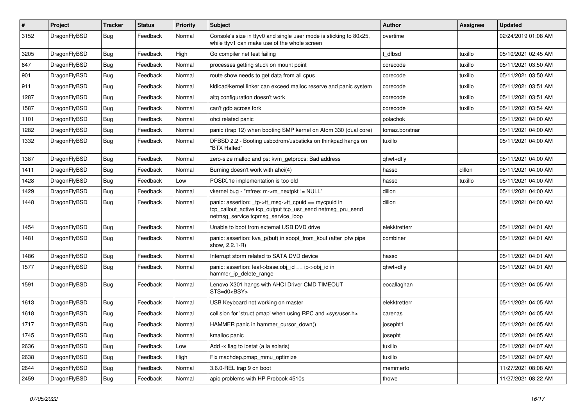| $\sharp$ | Project      | <b>Tracker</b> | <b>Status</b> | <b>Priority</b> | <b>Subject</b>                                                                                                                                           | Author         | Assignee | <b>Updated</b>      |
|----------|--------------|----------------|---------------|-----------------|----------------------------------------------------------------------------------------------------------------------------------------------------------|----------------|----------|---------------------|
| 3152     | DragonFlyBSD | Bug            | Feedback      | Normal          | Console's size in ttyv0 and single user mode is sticking to 80x25,<br>while ttyv1 can make use of the whole screen                                       | overtime       |          | 02/24/2019 01:08 AM |
| 3205     | DragonFlyBSD | <b>Bug</b>     | Feedback      | High            | Go compiler net test failing                                                                                                                             | t dfbsd        | tuxillo  | 05/10/2021 02:45 AM |
| 847      | DragonFlyBSD | <b>Bug</b>     | Feedback      | Normal          | processes getting stuck on mount point                                                                                                                   | corecode       | tuxillo  | 05/11/2021 03:50 AM |
| 901      | DragonFlyBSD | <b>Bug</b>     | Feedback      | Normal          | route show needs to get data from all cpus                                                                                                               | corecode       | tuxillo  | 05/11/2021 03:50 AM |
| 911      | DragonFlyBSD | <b>Bug</b>     | Feedback      | Normal          | kldload/kernel linker can exceed malloc reserve and panic system                                                                                         | corecode       | tuxillo  | 05/11/2021 03:51 AM |
| 1287     | DragonFlyBSD | <b>Bug</b>     | Feedback      | Normal          | altg configuration doesn't work                                                                                                                          | corecode       | tuxillo  | 05/11/2021 03:51 AM |
| 1587     | DragonFlyBSD | <b>Bug</b>     | Feedback      | Normal          | can't gdb across fork                                                                                                                                    | corecode       | tuxillo  | 05/11/2021 03:54 AM |
| 1101     | DragonFlyBSD | <b>Bug</b>     | Feedback      | Normal          | ohci related panic                                                                                                                                       | polachok       |          | 05/11/2021 04:00 AM |
| 1282     | DragonFlyBSD | <b>Bug</b>     | Feedback      | Normal          | panic (trap 12) when booting SMP kernel on Atom 330 (dual core)                                                                                          | tomaz.borstnar |          | 05/11/2021 04:00 AM |
| 1332     | DragonFlyBSD | <b>Bug</b>     | Feedback      | Normal          | DFBSD 2.2 - Booting usbcdrom/usbsticks on thinkpad hangs on<br>"BTX Halted"                                                                              | tuxillo        |          | 05/11/2021 04:00 AM |
| 1387     | DragonFlyBSD | <b>Bug</b>     | Feedback      | Normal          | zero-size malloc and ps: kvm_getprocs: Bad address                                                                                                       | qhwt+dfly      |          | 05/11/2021 04:00 AM |
| 1411     | DragonFlyBSD | <b>Bug</b>     | Feedback      | Normal          | Burning doesn't work with ahci(4)                                                                                                                        | hasso          | dillon   | 05/11/2021 04:00 AM |
| 1428     | DragonFlyBSD | <b>Bug</b>     | Feedback      | Low             | POSIX.1e implementation is too old                                                                                                                       | hasso          | tuxillo  | 05/11/2021 04:00 AM |
| 1429     | DragonFlyBSD | <b>Bug</b>     | Feedback      | Normal          | vkernel bug - "mfree: m->m_nextpkt != NULL"                                                                                                              | dillon         |          | 05/11/2021 04:00 AM |
| 1448     | DragonFlyBSD | Bug            | Feedback      | Normal          | panic: assertion: tp->tt_msg->tt_cpuid == mycpuid in<br>tcp_callout_active tcp_output tcp_usr_send netmsg_pru_send<br>netmsg_service tcpmsg_service_loop | dillon         |          | 05/11/2021 04:00 AM |
| 1454     | DragonFlyBSD | Bug            | Feedback      | Normal          | Unable to boot from external USB DVD drive                                                                                                               | elekktretterr  |          | 05/11/2021 04:01 AM |
| 1481     | DragonFlyBSD | <b>Bug</b>     | Feedback      | Normal          | panic: assertion: kva_p(buf) in soopt_from_kbuf (after ipfw pipe<br>show, 2.2.1-R)                                                                       | combiner       |          | 05/11/2021 04:01 AM |
| 1486     | DragonFlyBSD | <b>Bug</b>     | Feedback      | Normal          | Interrupt storm related to SATA DVD device                                                                                                               | hasso          |          | 05/11/2021 04:01 AM |
| 1577     | DragonFlyBSD | <b>Bug</b>     | Feedback      | Normal          | panic: assertion: leaf->base.obj_id == ip->obj_id in<br>hammer_ip_delete_range                                                                           | qhwt+dfly      |          | 05/11/2021 04:01 AM |
| 1591     | DragonFlyBSD | <b>Bug</b>     | Feedback      | Normal          | Lenovo X301 hangs with AHCI Driver CMD TIMEOUT<br>STS=d0 <bsy></bsy>                                                                                     | eocallaghan    |          | 05/11/2021 04:05 AM |
| 1613     | DragonFlyBSD | <b>Bug</b>     | Feedback      | Normal          | USB Keyboard not working on master                                                                                                                       | elekktretterr  |          | 05/11/2021 04:05 AM |
| 1618     | DragonFlyBSD | <b>Bug</b>     | Feedback      | Normal          | collision for 'struct pmap' when using RPC and <sys user.h=""></sys>                                                                                     | carenas        |          | 05/11/2021 04:05 AM |
| 1717     | DragonFlyBSD | Bug            | Feedback      | Normal          | HAMMER panic in hammer cursor down()                                                                                                                     | josepht1       |          | 05/11/2021 04:05 AM |
| 1745     | DragonFlyBSD | Bug            | Feedback      | Normal          | kmalloc panic                                                                                                                                            | josepht        |          | 05/11/2021 04:05 AM |
| 2636     | DragonFlyBSD | <b>Bug</b>     | Feedback      | Low             | Add -x flag to iostat (a la solaris)                                                                                                                     | tuxillo        |          | 05/11/2021 04:07 AM |
| 2638     | DragonFlyBSD | <b>Bug</b>     | Feedback      | High            | Fix machdep.pmap mmu optimize                                                                                                                            | tuxillo        |          | 05/11/2021 04:07 AM |
| 2644     | DragonFlyBSD | <b>Bug</b>     | Feedback      | Normal          | 3.6.0-REL trap 9 on boot                                                                                                                                 | memmerto       |          | 11/27/2021 08:08 AM |
| 2459     | DragonFlyBSD | <b>Bug</b>     | Feedback      | Normal          | apic problems with HP Probook 4510s                                                                                                                      | thowe          |          | 11/27/2021 08:22 AM |